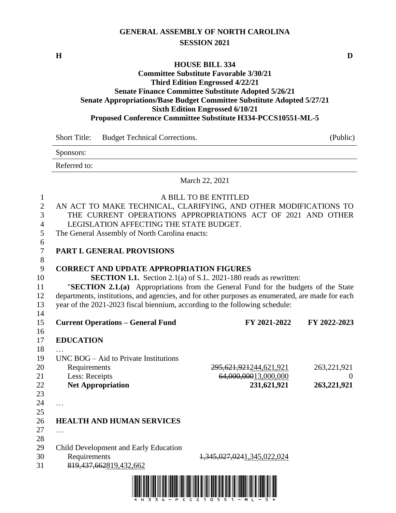## **GENERAL ASSEMBLY OF NORTH CAROLINA SESSION 2021**

#### **HOUSE BILL 334**

#### **Committee Substitute Favorable 3/30/21 Third Edition Engrossed 4/22/21 Senate Finance Committee Substitute Adopted 5/26/21 Senate Appropriations/Base Budget Committee Substitute Adopted 5/27/21 Sixth Edition Engrossed 6/10/21 Proposed Conference Committee Substitute H334-PCCS10551-ML-5**

|              | Short Title: Budget Technical Corrections. | (Public) |
|--------------|--------------------------------------------|----------|
| Sponsors:    |                                            |          |
| Referred to: |                                            |          |
|              |                                            |          |

### March 22, 2021

| $\mathbf{1}$   |                                                                                                  | A BILL TO BE ENTITLED                                                   |               |
|----------------|--------------------------------------------------------------------------------------------------|-------------------------------------------------------------------------|---------------|
| $\overline{2}$ | AN ACT TO MAKE TECHNICAL, CLARIFYING, AND OTHER MODIFICATIONS TO                                 |                                                                         |               |
| 3              | THE CURRENT OPERATIONS APPROPRIATIONS ACT OF 2021 AND OTHER                                      |                                                                         |               |
| $\overline{4}$ | LEGISLATION AFFECTING THE STATE BUDGET.                                                          |                                                                         |               |
| 5              | The General Assembly of North Carolina enacts:                                                   |                                                                         |               |
| 6              |                                                                                                  |                                                                         |               |
| $\tau$         | PART I. GENERAL PROVISIONS                                                                       |                                                                         |               |
| $8\,$          |                                                                                                  |                                                                         |               |
| 9              | <b>CORRECT AND UPDATE APPROPRIATION FIGURES</b>                                                  |                                                                         |               |
| 10             |                                                                                                  | <b>SECTION 1.1.</b> Section 2.1(a) of S.L. 2021-180 reads as rewritten: |               |
| 11             | "SECTION 2.1.(a) Appropriations from the General Fund for the budgets of the State               |                                                                         |               |
| 12             | departments, institutions, and agencies, and for other purposes as enumerated, are made for each |                                                                         |               |
| 13             | year of the 2021-2023 fiscal biennium, according to the following schedule:                      |                                                                         |               |
| 14             |                                                                                                  |                                                                         |               |
| 15             | <b>Current Operations - General Fund</b>                                                         | FY 2021-2022                                                            | FY 2022-2023  |
| 16             |                                                                                                  |                                                                         |               |
| 17             | <b>EDUCATION</b>                                                                                 |                                                                         |               |
| 18             |                                                                                                  |                                                                         |               |
| 19             | $UNC$ BOG $-$ Aid to Private Institutions                                                        |                                                                         |               |
| 20             | Requirements                                                                                     | 295, 621, 921244, 621, 921                                              | 263, 221, 921 |
| 21             | Less: Receipts                                                                                   | 64,000,00013,000,000                                                    | $\theta$      |
| 22             | <b>Net Appropriation</b>                                                                         | 231,621,921                                                             | 263,221,921   |
| 23             |                                                                                                  |                                                                         |               |
| 24             | $\dddotsc$                                                                                       |                                                                         |               |
| 25             |                                                                                                  |                                                                         |               |
| 26             | <b>HEALTH AND HUMAN SERVICES</b>                                                                 |                                                                         |               |
| 27             | $\cdots$                                                                                         |                                                                         |               |
| 28             |                                                                                                  |                                                                         |               |
| 29             | Child Development and Early Education                                                            |                                                                         |               |
| 30             | Requirements                                                                                     | 1,345,027,0241,345,022,024                                              |               |
| 31             | 819,437,662819,432,662                                                                           |                                                                         |               |
|                |                                                                                                  |                                                                         |               |

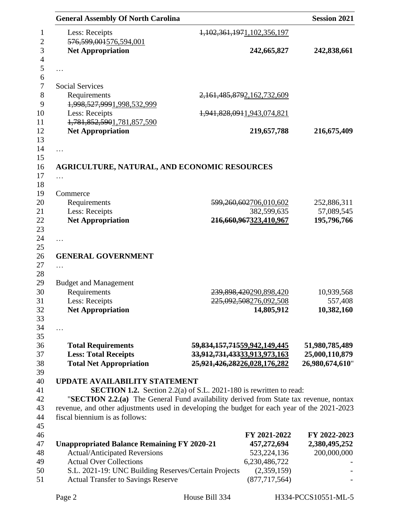| <b>General Assembly Of North Carolina</b>                                                                                                                          |                              |                                  | <b>Session 2021</b> |
|--------------------------------------------------------------------------------------------------------------------------------------------------------------------|------------------------------|----------------------------------|---------------------|
| Less: Receipts                                                                                                                                                     |                              | 1, 102, 361, 1971, 102, 356, 197 |                     |
| 576, 599, 001576, 594, 001                                                                                                                                         |                              |                                  |                     |
| <b>Net Appropriation</b>                                                                                                                                           |                              | 242,665,827                      | 242,838,661         |
| .                                                                                                                                                                  |                              |                                  |                     |
|                                                                                                                                                                    |                              |                                  |                     |
| <b>Social Services</b>                                                                                                                                             |                              |                                  |                     |
| Requirements<br>1,998,527,9991,998,532,999                                                                                                                         |                              | 2, 161, 485, 8792, 162, 732, 609 |                     |
| Less: Receipts<br>1,781,852,5901,781,857,590                                                                                                                       |                              | 1,941,828,0911,943,074,821       |                     |
| <b>Net Appropriation</b>                                                                                                                                           |                              | 219,657,788                      | 216,675,409         |
| .                                                                                                                                                                  |                              |                                  |                     |
|                                                                                                                                                                    |                              |                                  |                     |
| <b>AGRICULTURE, NATURAL, AND ECONOMIC RESOURCES</b>                                                                                                                |                              |                                  |                     |
| $\cdots$                                                                                                                                                           |                              |                                  |                     |
|                                                                                                                                                                    |                              |                                  |                     |
| Commerce<br>Requirements                                                                                                                                           |                              | 599,260,602706,010,602           | 252,886,311         |
| Less: Receipts                                                                                                                                                     |                              | 382,599,635                      | 57,089,545          |
| <b>Net Appropriation</b>                                                                                                                                           |                              | 216,660,967323,410,967           | 195,796,766         |
|                                                                                                                                                                    |                              |                                  |                     |
| .                                                                                                                                                                  |                              |                                  |                     |
|                                                                                                                                                                    |                              |                                  |                     |
| <b>GENERAL GOVERNMENT</b>                                                                                                                                          |                              |                                  |                     |
| .                                                                                                                                                                  |                              |                                  |                     |
|                                                                                                                                                                    |                              |                                  |                     |
| <b>Budget and Management</b><br>Requirements                                                                                                                       |                              | 239,898,420290,898,420           | 10,939,568          |
| Less: Receipts                                                                                                                                                     |                              | 225,092,508276,092,508           | 557,408             |
| <b>Net Appropriation</b>                                                                                                                                           |                              | 14,805,912                       | 10,382,160          |
|                                                                                                                                                                    |                              |                                  |                     |
| .                                                                                                                                                                  |                              |                                  |                     |
|                                                                                                                                                                    |                              |                                  |                     |
| <b>Total Requirements</b>                                                                                                                                          | 59,834,157,71559,942,149,445 |                                  | 51,980,785,489      |
| <b>Less: Total Receipts</b>                                                                                                                                        | 33,912,731,43333,913,973,163 |                                  | 25,000,110,879      |
| <b>Total Net Appropriation</b>                                                                                                                                     | 25,921,426,28226,028,176,282 |                                  | 26,980,674,610"     |
|                                                                                                                                                                    |                              |                                  |                     |
| <b>UPDATE AVAILABILITY STATEMENT</b>                                                                                                                               |                              |                                  |                     |
| <b>SECTION 1.2.</b> Section 2.2(a) of S.L. 2021-180 is rewritten to read:<br>"SECTION 2.2.(a) The General Fund availability derived from State tax revenue, nontax |                              |                                  |                     |
| revenue, and other adjustments used in developing the budget for each year of the 2021-2023                                                                        |                              |                                  |                     |
| fiscal biennium is as follows:                                                                                                                                     |                              |                                  |                     |
|                                                                                                                                                                    |                              |                                  |                     |
|                                                                                                                                                                    |                              | FY 2021-2022                     | FY 2022-2023        |
| <b>Unappropriated Balance Remaining FY 2020-21</b>                                                                                                                 |                              | 457,272,694                      | 2,380,495,252       |
|                                                                                                                                                                    |                              | 523, 224, 136                    | 200,000,000         |
| <b>Actual/Anticipated Reversions</b>                                                                                                                               |                              |                                  |                     |
| <b>Actual Over Collections</b>                                                                                                                                     |                              | 6,230,486,722                    |                     |
| S.L. 2021-19: UNC Building Reserves/Certain Projects                                                                                                               |                              | (2,359,159)                      |                     |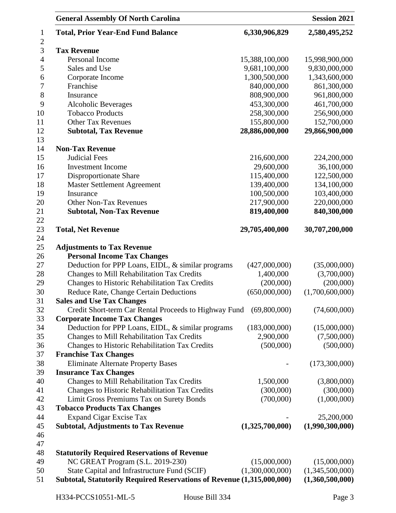| <b>General Assembly Of North Carolina</b>                              |                 | <b>Session 2021</b> |
|------------------------------------------------------------------------|-----------------|---------------------|
| <b>Total, Prior Year-End Fund Balance</b>                              | 6,330,906,829   | 2,580,495,252       |
| <b>Tax Revenue</b>                                                     |                 |                     |
| Personal Income                                                        | 15,388,100,000  | 15,998,900,000      |
| Sales and Use                                                          | 9,681,100,000   | 9,830,000,000       |
| Corporate Income                                                       | 1,300,500,000   | 1,343,600,000       |
| Franchise                                                              | 840,000,000     | 861,300,000         |
| Insurance                                                              | 808,900,000     | 961,800,000         |
| <b>Alcoholic Beverages</b>                                             | 453,300,000     | 461,700,000         |
| <b>Tobacco Products</b>                                                | 258,300,000     | 256,900,000         |
| Other Tax Revenues                                                     | 155,800,000     | 152,700,000         |
| <b>Subtotal, Tax Revenue</b>                                           | 28,886,000,000  | 29,866,900,000      |
| <b>Non-Tax Revenue</b>                                                 |                 |                     |
| <b>Judicial Fees</b>                                                   | 216,600,000     | 224,200,000         |
| <b>Investment</b> Income                                               | 29,600,000      | 36,100,000          |
| <b>Disproportionate Share</b>                                          | 115,400,000     | 122,500,000         |
| Master Settlement Agreement                                            | 139,400,000     | 134,100,000         |
| Insurance                                                              | 100,500,000     | 103,400,000         |
| <b>Other Non-Tax Revenues</b>                                          | 217,900,000     | 220,000,000         |
| <b>Subtotal, Non-Tax Revenue</b>                                       | 819,400,000     | 840,300,000         |
|                                                                        |                 |                     |
| <b>Total, Net Revenue</b>                                              | 29,705,400,000  | 30,707,200,000      |
| <b>Adjustments to Tax Revenue</b>                                      |                 |                     |
| <b>Personal Income Tax Changes</b>                                     |                 |                     |
| Deduction for PPP Loans, EIDL, & similar programs                      | (427,000,000)   | (35,000,000)        |
| Changes to Mill Rehabilitation Tax Credits                             | 1,400,000       | (3,700,000)         |
| Changes to Historic Rehabilitation Tax Credits                         | (200,000)       | (200,000)           |
| Reduce Rate, Change Certain Deductions                                 | (650,000,000)   | (1,700,600,000)     |
| <b>Sales and Use Tax Changes</b>                                       |                 |                     |
| Credit Short-term Car Rental Proceeds to Highway Fund                  | (69,800,000)    | (74,600,000)        |
| <b>Corporate Income Tax Changes</b>                                    |                 |                     |
| Deduction for PPP Loans, EIDL, & similar programs                      | (183,000,000)   | (15,000,000)        |
| Changes to Mill Rehabilitation Tax Credits                             | 2,900,000       | (7,500,000)         |
| Changes to Historic Rehabilitation Tax Credits                         | (500,000)       | (500,000)           |
| <b>Franchise Tax Changes</b>                                           |                 |                     |
| <b>Eliminate Alternate Property Bases</b>                              |                 | (173,300,000)       |
| <b>Insurance Tax Changes</b>                                           |                 |                     |
| Changes to Mill Rehabilitation Tax Credits                             | 1,500,000       | (3,800,000)         |
| Changes to Historic Rehabilitation Tax Credits                         | (300,000)       | (300,000)           |
| Limit Gross Premiums Tax on Surety Bonds                               | (700,000)       | (1,000,000)         |
| <b>Tobacco Products Tax Changes</b>                                    |                 |                     |
| <b>Expand Cigar Excise Tax</b>                                         |                 | 25,200,000          |
| <b>Subtotal, Adjustments to Tax Revenue</b>                            | (1,325,700,000) | (1,990,300,000)     |
|                                                                        |                 |                     |
|                                                                        |                 |                     |
| <b>Statutorily Required Reservations of Revenue</b>                    |                 |                     |
| NC GREAT Program (S.L. 2019-230)                                       | (15,000,000)    | (15,000,000)        |
| State Capital and Infrastructure Fund (SCIF)                           | (1,300,000,000) | (1,345,500,000)     |
| Subtotal, Statutorily Required Reservations of Revenue (1,315,000,000) |                 | (1,360,500,000)     |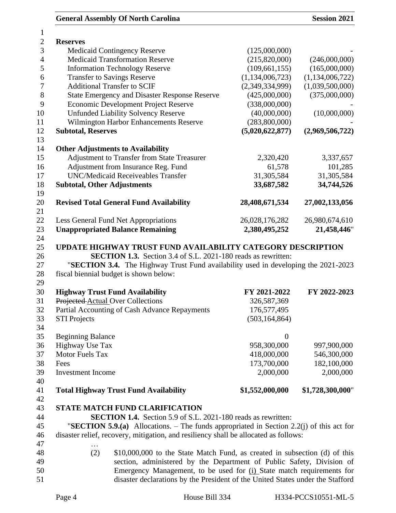| 1                |                                                                                                                                                         |                    |                  |
|------------------|---------------------------------------------------------------------------------------------------------------------------------------------------------|--------------------|------------------|
| $\mathbf{2}$     | <b>Reserves</b>                                                                                                                                         |                    |                  |
| 3                | <b>Medicaid Contingency Reserve</b>                                                                                                                     | (125,000,000)      |                  |
| $\overline{4}$   | <b>Medicaid Transformation Reserve</b>                                                                                                                  | (215,820,000)      | (246,000,000)    |
| 5                | <b>Information Technology Reserve</b>                                                                                                                   | (109, 661, 155)    | (165,000,000)    |
| 6                | <b>Transfer to Savings Reserve</b>                                                                                                                      | (1, 134, 006, 723) | (1,134,006,722)  |
| $\boldsymbol{7}$ | <b>Additional Transfer to SCIF</b>                                                                                                                      | (2,349,334,999)    | (1,039,500,000)  |
| 8                | <b>State Emergency and Disaster Response Reserve</b>                                                                                                    | (425,000,000)      | (375,000,000)    |
| 9                | <b>Economic Development Project Reserve</b>                                                                                                             | (338,000,000)      |                  |
| 10               | <b>Unfunded Liability Solvency Reserve</b>                                                                                                              | (40,000,000)       | (10,000,000)     |
| 11               | Wilmington Harbor Enhancements Reserve                                                                                                                  | (283,800,000)      |                  |
| 12               | <b>Subtotal, Reserves</b>                                                                                                                               | (5,020,622,877)    | (2,969,506,722)  |
| 13               |                                                                                                                                                         |                    |                  |
| 14               | <b>Other Adjustments to Availability</b>                                                                                                                |                    |                  |
| 15               | Adjustment to Transfer from State Treasurer                                                                                                             | 2,320,420          | 3,337,657        |
| 16               | Adjustment from Insurance Reg. Fund                                                                                                                     | 61,578             | 101,285          |
| 17               | <b>UNC/Medicaid Receiveables Transfer</b>                                                                                                               | 31,305,584         | 31,305,584       |
| 18               | <b>Subtotal, Other Adjustments</b>                                                                                                                      | 33,687,582         | 34,744,526       |
| 19               |                                                                                                                                                         |                    |                  |
| 20               | <b>Revised Total General Fund Availability</b>                                                                                                          | 28,408,671,534     | 27,002,133,056   |
| 21               |                                                                                                                                                         |                    |                  |
| 22               | Less General Fund Net Appropriations                                                                                                                    | 26,028,176,282     | 26,980,674,610   |
| 23               | <b>Unappropriated Balance Remaining</b>                                                                                                                 | 2,380,495,252      | 21,458,446"      |
| 24               |                                                                                                                                                         |                    |                  |
| 25               | UPDATE HIGHWAY TRUST FUND AVAILABILITY CATEGORY DESCRIPTION                                                                                             |                    |                  |
| 26               | <b>SECTION 1.3.</b> Section 3.4 of S.L. 2021-180 reads as rewritten:                                                                                    |                    |                  |
| 27               | "SECTION 3.4. The Highway Trust Fund availability used in developing the 2021-2023                                                                      |                    |                  |
| 28               | fiscal biennial budget is shown below:                                                                                                                  |                    |                  |
| 29               |                                                                                                                                                         |                    |                  |
| 30               | <b>Highway Trust Fund Availability</b>                                                                                                                  | FY 2021-2022       | FY 2022-2023     |
| 31               | Projected Actual Over Collections                                                                                                                       | 326,587,369        |                  |
| 32               | Partial Accounting of Cash Advance Repayments                                                                                                           | 176,577,495        |                  |
| 33               | <b>STI Projects</b>                                                                                                                                     | (503, 164, 864)    |                  |
| 34               |                                                                                                                                                         |                    |                  |
| 35               | <b>Beginning Balance</b>                                                                                                                                | $\boldsymbol{0}$   |                  |
| 36               | Highway Use Tax                                                                                                                                         | 958,300,000        | 997,900,000      |
| 37               | Motor Fuels Tax                                                                                                                                         | 418,000,000        | 546,300,000      |
| 38               | Fees                                                                                                                                                    | 173,700,000        | 182,100,000      |
| 39               | <b>Investment Income</b>                                                                                                                                | 2,000,000          | 2,000,000        |
| 40               |                                                                                                                                                         |                    |                  |
| 41               | <b>Total Highway Trust Fund Availability</b>                                                                                                            | \$1,552,000,000    | \$1,728,300,000" |
| 42               |                                                                                                                                                         |                    |                  |
| 43               | STATE MATCH FUND CLARIFICATION                                                                                                                          |                    |                  |
| 44               | <b>SECTION 1.4.</b> Section 5.9 of S.L. 2021-180 reads as rewritten:                                                                                    |                    |                  |
|                  |                                                                                                                                                         |                    |                  |
| 45               | "SECTION 5.9.(a) Allocations. – The funds appropriated in Section 2.2(j) of this act for                                                                |                    |                  |
| 46               |                                                                                                                                                         |                    |                  |
|                  | disaster relief, recovery, mitigation, and resiliency shall be allocated as follows:                                                                    |                    |                  |
| 47               |                                                                                                                                                         |                    |                  |
| 48               | (2)<br>\$10,000,000 to the State Match Fund, as created in subsection (d) of this                                                                       |                    |                  |
| 49               | section, administered by the Department of Public Safety, Division of                                                                                   |                    |                  |
| 50<br>51         | Emergency Management, to be used for (i) State match requirements for<br>disaster declarations by the President of the United States under the Stafford |                    |                  |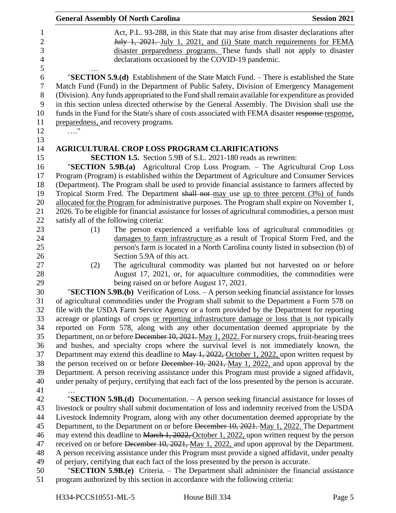|                  | <b>General Assembly Of North Carolina</b><br><b>Session 2021</b>                                                                                       |
|------------------|--------------------------------------------------------------------------------------------------------------------------------------------------------|
| $\mathbf{1}$     | Act, P.L. 93-288, in this State that may arise from disaster declarations after                                                                        |
| $\overline{2}$   | July 1, 2021. July 1, 2021, and (ii) State match requirements for FEMA                                                                                 |
| 3                | disaster preparedness programs. These funds shall not apply to disaster                                                                                |
| $\overline{4}$   | declarations occasioned by the COVID-19 pandemic.                                                                                                      |
| 5                |                                                                                                                                                        |
| 6                | "SECTION 5.9.(d) Establishment of the State Match Fund. - There is established the State                                                               |
| $\boldsymbol{7}$ | Match Fund (Fund) in the Department of Public Safety, Division of Emergency Management                                                                 |
| 8                | (Division). Any funds appropriated to the Fund shall remain available for expenditure as provided                                                      |
| 9                | in this section unless directed otherwise by the General Assembly. The Division shall use the                                                          |
| 10               | funds in the Fund for the State's share of costs associated with FEMA disaster response response,                                                      |
| 11               | preparedness, and recovery programs.                                                                                                                   |
| 12               | $\ldots$ "                                                                                                                                             |
| 13               |                                                                                                                                                        |
| 14               | <b>AGRICULTURAL CROP LOSS PROGRAM CLARIFICATIONS</b>                                                                                                   |
| 15               | <b>SECTION 1.5.</b> Section 5.9B of S.L. 2021-180 reads as rewritten:                                                                                  |
| 16               | "SECTION 5.9B.(a) Agricultural Crop Loss Program. - The Agricultural Crop Loss                                                                         |
| 17               | Program (Program) is established within the Department of Agriculture and Consumer Services                                                            |
| 18               | (Department). The Program shall be used to provide financial assistance to farmers affected by                                                         |
| 19               | Tropical Storm Fred. The Department shall not may use up to three percent (3%) of funds                                                                |
| 20               | allocated for the Program for administrative purposes. The Program shall expire on November 1,                                                         |
| 21               | 2026. To be eligible for financial assistance for losses of agricultural commodities, a person must                                                    |
| 22               | satisfy all of the following criteria:                                                                                                                 |
| 23               | The person experienced a verifiable loss of agricultural commodities or<br>(1)                                                                         |
| 24               | damages to farm infrastructure as a result of Tropical Storm Fred, and the                                                                             |
| 25               | person's farm is located in a North Carolina county listed in subsection (b) of                                                                        |
| 26               | Section 5.9A of this act.                                                                                                                              |
| 27<br>28         | The agricultural commodity was planted but not harvested on or before<br>(2)<br>August 17, 2021, or, for aquaculture commodities, the commodities were |
| 29               | being raised on or before August 17, 2021.                                                                                                             |
| 30               | "SECTION 5.9B.(b) Verification of Loss. - A person seeking financial assistance for losses                                                             |
| 31               | of agricultural commodities under the Program shall submit to the Department a Form 578 on                                                             |
| 32               | file with the USDA Farm Service Agency or a form provided by the Department for reporting                                                              |
| 33               | acreage or plantings of crops or reporting infrastructure damage or loss that is not typically                                                         |
| 34               | reported on Form 578, along with any other documentation deemed appropriate by the                                                                     |
| 35               | Department, on or before December 10, 2021. May 1, 2022. For nursery crops, fruit-bearing trees                                                        |
| 36               | and bushes, and specialty crops where the survival level is not immediately known, the                                                                 |
| 37               | Department may extend this deadline to May 1, 2022, October 1, 2022, upon written request by                                                           |
| 38               | the person received on or before December $10$ , $2021$ , $\frac{May}{1}$ , $2022$ , and upon approval by the                                          |
| 39               | Department. A person receiving assistance under this Program must provide a signed affidavit,                                                          |
| 40               | under penalty of perjury, certifying that each fact of the loss presented by the person is accurate.                                                   |
| 41               |                                                                                                                                                        |
| 42               | "SECTION 5.9B. $(d)$ Documentation. $-A$ person seeking financial assistance for losses of                                                             |
| 43               | livestock or poultry shall submit documentation of loss and indemnity received from the USDA                                                           |
| 44               | Livestock Indemnity Program, along with any other documentation deemed appropriate by the                                                              |
| 45               | Department, to the Department on or before December 10, 2021. May 1, 2022. The Department                                                              |
| 46               | may extend this deadline to March 1, 2022, October 1, 2022, upon written request by the person                                                         |
| 47               | received on or before December 10, 2021, May 1, 2022, and upon approval by the Department.                                                             |
| 48               | A person receiving assistance under this Program must provide a signed affidavit, under penalty                                                        |
| 49               | of perjury, certifying that each fact of the loss presented by the person is accurate.                                                                 |
| 50               | "SECTION 5.9B.(e) Criteria. - The Department shall administer the financial assistance                                                                 |
| 51               | program authorized by this section in accordance with the following criteria:                                                                          |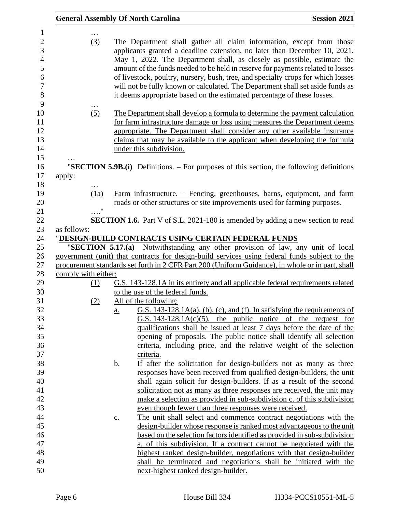|                                                                                      |                   | <b>General Assembly Of North Carolina</b>                                                                                                                                                                                                                                                                                                                                                                                                                                                                                                                        | <b>Session 2021</b> |
|--------------------------------------------------------------------------------------|-------------------|------------------------------------------------------------------------------------------------------------------------------------------------------------------------------------------------------------------------------------------------------------------------------------------------------------------------------------------------------------------------------------------------------------------------------------------------------------------------------------------------------------------------------------------------------------------|---------------------|
| 1<br>$\overline{c}$<br>(3)<br>3<br>$\overline{4}$<br>5<br>6<br>$\tau$<br>8<br>9<br>. |                   | The Department shall gather all claim information, except from those<br>applicants granted a deadline extension, no later than December 10, 2021.<br>May 1, 2022. The Department shall, as closely as possible, estimate the<br>amount of the funds needed to be held in reserve for payments related to losses<br>of livestock, poultry, nursery, bush, tree, and specialty crops for which losses<br>will not be fully known or calculated. The Department shall set aside funds as<br>it deems appropriate based on the estimated percentage of these losses. |                     |
| 10<br>(5)<br>11<br>12<br>13<br>14<br>15                                              |                   | The Department shall develop a formula to determine the payment calculation<br>for farm infrastructure damage or loss using measures the Department deems<br>appropriate. The Department shall consider any other available insurance<br>claims that may be available to the applicant when developing the formula<br>under this subdivision.                                                                                                                                                                                                                    |                     |
| 16<br>17                                                                             |                   | "SECTION 5.9B.(i) Definitions. – For purposes of this section, the following definitions                                                                                                                                                                                                                                                                                                                                                                                                                                                                         |                     |
| apply:<br>18<br>19<br>(1a)<br>20<br>$\pmb{\mathsf{H}}$                               |                   | Farm infrastructure. – Fencing, greenhouses, barns, equipment, and farm<br>roads or other structures or site improvements used for farming purposes.                                                                                                                                                                                                                                                                                                                                                                                                             |                     |
| 21<br>22                                                                             |                   | <b>SECTION 1.6.</b> Part V of S.L. 2021-180 is amended by adding a new section to read                                                                                                                                                                                                                                                                                                                                                                                                                                                                           |                     |
| 23<br>as follows:                                                                    |                   |                                                                                                                                                                                                                                                                                                                                                                                                                                                                                                                                                                  |                     |
| 24                                                                                   |                   | "DESIGN-BUILD CONTRACTS USING CERTAIN FEDERAL FUNDS                                                                                                                                                                                                                                                                                                                                                                                                                                                                                                              |                     |
| 25<br>26                                                                             |                   | "SECTION 5.17.(a) Notwithstanding any other provision of law, any unit of local<br>government (unit) that contracts for design-build services using federal funds subject to the                                                                                                                                                                                                                                                                                                                                                                                 |                     |
| 27                                                                                   |                   | procurement standards set forth in 2 CFR Part 200 (Uniform Guidance), in whole or in part, shall                                                                                                                                                                                                                                                                                                                                                                                                                                                                 |                     |
| 28<br>comply with either:                                                            |                   |                                                                                                                                                                                                                                                                                                                                                                                                                                                                                                                                                                  |                     |
| 29<br>(1)                                                                            |                   | G.S. 143-128.1A in its entirety and all applicable federal requirements related                                                                                                                                                                                                                                                                                                                                                                                                                                                                                  |                     |
| 30                                                                                   |                   | to the use of the federal funds.                                                                                                                                                                                                                                                                                                                                                                                                                                                                                                                                 |                     |
| 31<br>(2)                                                                            |                   | All of the following:                                                                                                                                                                                                                                                                                                                                                                                                                                                                                                                                            |                     |
| 32                                                                                   | <u>a.</u>         | G.S. 143-128.1A(a), (b), (c), and (f). In satisfying the requirements of                                                                                                                                                                                                                                                                                                                                                                                                                                                                                         |                     |
| 33                                                                                   |                   | G.S. $143-128.1A(c)(5)$ , the public notice of the request for                                                                                                                                                                                                                                                                                                                                                                                                                                                                                                   |                     |
| 34                                                                                   |                   | qualifications shall be issued at least 7 days before the date of the                                                                                                                                                                                                                                                                                                                                                                                                                                                                                            |                     |
| 35                                                                                   |                   | opening of proposals. The public notice shall identify all selection                                                                                                                                                                                                                                                                                                                                                                                                                                                                                             |                     |
| 36                                                                                   |                   | criteria, including price, and the relative weight of the selection                                                                                                                                                                                                                                                                                                                                                                                                                                                                                              |                     |
| 37                                                                                   |                   | criteria.                                                                                                                                                                                                                                                                                                                                                                                                                                                                                                                                                        |                     |
| 38                                                                                   | <u>b.</u>         | If after the solicitation for design-builders not as many as three                                                                                                                                                                                                                                                                                                                                                                                                                                                                                               |                     |
| 39                                                                                   |                   | responses have been received from qualified design-builders, the unit                                                                                                                                                                                                                                                                                                                                                                                                                                                                                            |                     |
| 40                                                                                   |                   | shall again solicit for design-builders. If as a result of the second                                                                                                                                                                                                                                                                                                                                                                                                                                                                                            |                     |
| 41                                                                                   |                   | solicitation not as many as three responses are received, the unit may                                                                                                                                                                                                                                                                                                                                                                                                                                                                                           |                     |
| 42<br>43                                                                             |                   | make a selection as provided in sub-subdivision c. of this subdivision                                                                                                                                                                                                                                                                                                                                                                                                                                                                                           |                     |
| 44                                                                                   |                   | even though fewer than three responses were received.                                                                                                                                                                                                                                                                                                                                                                                                                                                                                                            |                     |
| 45                                                                                   | $\underline{c}$ . | The unit shall select and commence contract negotiations with the<br>design-builder whose response is ranked most advantageous to the unit                                                                                                                                                                                                                                                                                                                                                                                                                       |                     |
| 46                                                                                   |                   | based on the selection factors identified as provided in sub-subdivision                                                                                                                                                                                                                                                                                                                                                                                                                                                                                         |                     |
| 47                                                                                   |                   | a. of this subdivision. If a contract cannot be negotiated with the                                                                                                                                                                                                                                                                                                                                                                                                                                                                                              |                     |
| 48                                                                                   |                   | highest ranked design-builder, negotiations with that design-builder                                                                                                                                                                                                                                                                                                                                                                                                                                                                                             |                     |
| 49                                                                                   |                   | shall be terminated and negotiations shall be initiated with the                                                                                                                                                                                                                                                                                                                                                                                                                                                                                                 |                     |
| 50                                                                                   |                   | next-highest ranked design-builder.                                                                                                                                                                                                                                                                                                                                                                                                                                                                                                                              |                     |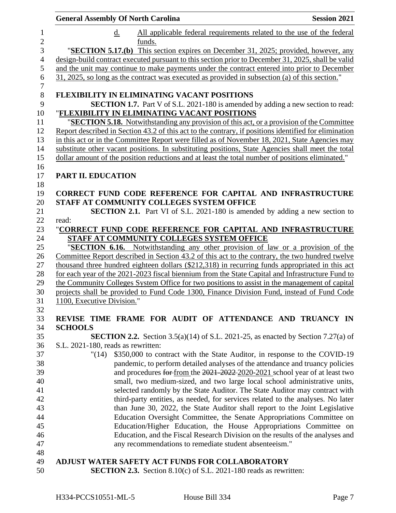| <b>General Assembly Of North Carolina</b>                                                                                               | <b>Session 2021</b> |
|-----------------------------------------------------------------------------------------------------------------------------------------|---------------------|
| d.<br>All applicable federal requirements related to the use of the federal                                                             |                     |
| funds.<br>"SECTION 5.17.(b) This section expires on December 31, 2025; provided, however, any                                           |                     |
| design-build contract executed pursuant to this section prior to December 31, 2025, shall be valid                                      |                     |
| and the unit may continue to make payments under the contract entered into prior to December                                            |                     |
| 31, 2025, so long as the contract was executed as provided in subsection (a) of this section."                                          |                     |
| FLEXIBILITY IN ELIMINATING VACANT POSITIONS                                                                                             |                     |
| <b>SECTION 1.7.</b> Part V of S.L. 2021-180 is amended by adding a new section to read:<br>"FLEXIBILITY IN ELIMINATING VACANT POSITIONS |                     |
| " <b>SECTION 5.18.</b> Notwithstanding any provision of this act, or a provision of the Committee                                       |                     |
| Report described in Section 43.2 of this act to the contrary, if positions identified for elimination                                   |                     |
| in this act or in the Committee Report were filled as of November 18, 2021, State Agencies may                                          |                     |
| substitute other vacant positions. In substituting positions, State Agencies shall meet the total                                       |                     |
| dollar amount of the position reductions and at least the total number of positions eliminated."                                        |                     |
| <b>PART II. EDUCATION</b>                                                                                                               |                     |
|                                                                                                                                         |                     |
| <b>CORRECT FUND CODE REFERENCE FOR CAPITAL AND INFRASTRUCTURE</b>                                                                       |                     |
| STAFF AT COMMUNITY COLLEGES SYSTEM OFFICE                                                                                               |                     |
| <b>SECTION 2.1.</b> Part VI of S.L. 2021-180 is amended by adding a new section to                                                      |                     |
| read:                                                                                                                                   |                     |
| "CORRECT FUND CODE REFERENCE FOR CAPITAL AND INFRASTRUCTURE                                                                             |                     |
| STAFF AT COMMUNITY COLLEGES SYSTEM OFFICE                                                                                               |                     |
| "SECTION 6.16. Notwithstanding any other provision of law or a provision of the                                                         |                     |
| Committee Report described in Section 43.2 of this act to the contrary, the two hundred twelve                                          |                     |
| thousand three hundred eighteen dollars (\$212,318) in recurring funds appropriated in this act                                         |                     |
| for each year of the 2021-2023 fiscal biennium from the State Capital and Infrastructure Fund to                                        |                     |
| the Community Colleges System Office for two positions to assist in the management of capital                                           |                     |
| projects shall be provided to Fund Code 1300, Finance Division Fund, instead of Fund Code                                               |                     |
| 1100, Executive Division."                                                                                                              |                     |
| REVISE TIME FRAME FOR AUDIT OF ATTENDANCE AND TRUANCY IN                                                                                |                     |
| <b>SCHOOLS</b>                                                                                                                          |                     |
| <b>SECTION 2.2.</b> Section 3.5(a)(14) of S.L. 2021-25, as enacted by Section 7.27(a) of                                                |                     |
| S.L. 2021-180, reads as rewritten:                                                                                                      |                     |
| \$350,000 to contract with the State Auditor, in response to the COVID-19<br>"(14)                                                      |                     |
| pandemic, to perform detailed analyses of the attendance and truancy policies                                                           |                     |
| and procedures for from the 2021-2022-2020-2021 school year of at least two                                                             |                     |
| small, two medium-sized, and two large local school administrative units,                                                               |                     |
| selected randomly by the State Auditor. The State Auditor may contract with                                                             |                     |
| third-party entities, as needed, for services related to the analyses. No later                                                         |                     |
| than June 30, 2022, the State Auditor shall report to the Joint Legislative                                                             |                     |
| Education Oversight Committee, the Senate Appropriations Committee on                                                                   |                     |
| Education/Higher Education, the House Appropriations Committee on                                                                       |                     |
| Education, and the Fiscal Research Division on the results of the analyses and                                                          |                     |
| any recommendations to remediate student absenteeism."                                                                                  |                     |
| ADJUST WATER SAFETY ACT FUNDS FOR COLLABORATORY                                                                                         |                     |
| <b>SECTION 2.3.</b> Section 8.10(c) of S.L. 2021-180 reads as rewritten:                                                                |                     |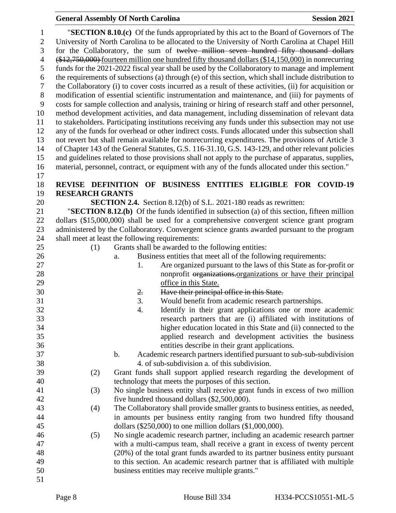| $\mathbf{1}$   |                                                                                       |               | "SECTION 8.10.(c) Of the funds appropriated by this act to the Board of Governors of The                                                  |  |  |  |
|----------------|---------------------------------------------------------------------------------------|---------------|-------------------------------------------------------------------------------------------------------------------------------------------|--|--|--|
| $\overline{2}$ |                                                                                       |               | University of North Carolina to be allocated to the University of North Carolina at Chapel Hill                                           |  |  |  |
| 3              | for the Collaboratory, the sum of twelve million seven hundred fifty thousand dollars |               |                                                                                                                                           |  |  |  |
| $\overline{4}$ |                                                                                       |               | (\$12,750,000) fourteen million one hundred fifty thousand dollars (\$14,150,000) in nonrecurring                                         |  |  |  |
| 5              |                                                                                       |               | funds for the 2021-2022 fiscal year shall be used by the Collaboratory to manage and implement                                            |  |  |  |
| 6              |                                                                                       |               | the requirements of subsections (a) through (e) of this section, which shall include distribution to                                      |  |  |  |
| 7              |                                                                                       |               | the Collaboratory (i) to cover costs incurred as a result of these activities, (ii) for acquisition or                                    |  |  |  |
| $\,8\,$        |                                                                                       |               | modification of essential scientific instrumentation and maintenance, and (iii) for payments of                                           |  |  |  |
| 9              |                                                                                       |               | costs for sample collection and analysis, training or hiring of research staff and other personnel,                                       |  |  |  |
| 10             |                                                                                       |               | method development activities, and data management, including dissemination of relevant data                                              |  |  |  |
| 11             |                                                                                       |               | to stakeholders. Participating institutions receiving any funds under this subsection may not use                                         |  |  |  |
| 12             |                                                                                       |               | any of the funds for overhead or other indirect costs. Funds allocated under this subsection shall                                        |  |  |  |
| 13             |                                                                                       |               | not revert but shall remain available for nonrecurring expenditures. The provisions of Article 3                                          |  |  |  |
| 14             |                                                                                       |               | of Chapter 143 of the General Statutes, G.S. 116-31.10, G.S. 143-129, and other relevant policies                                         |  |  |  |
| 15             |                                                                                       |               | and guidelines related to those provisions shall not apply to the purchase of apparatus, supplies,                                        |  |  |  |
| 16             |                                                                                       |               | material, personnel, contract, or equipment with any of the funds allocated under this section."                                          |  |  |  |
| 17             |                                                                                       |               |                                                                                                                                           |  |  |  |
| 18             |                                                                                       |               | REVISE DEFINITION OF BUSINESS ENTITIES ELIGIBLE FOR COVID-19                                                                              |  |  |  |
| 19             | <b>RESEARCH GRANTS</b>                                                                |               |                                                                                                                                           |  |  |  |
| 20             |                                                                                       |               | <b>SECTION 2.4.</b> Section 8.12(b) of S.L. 2021-180 reads as rewritten:                                                                  |  |  |  |
| 21<br>22       |                                                                                       |               | "SECTION 8.12. $(b)$ Of the funds identified in subsection (a) of this section, fifteen million                                           |  |  |  |
| 23             |                                                                                       |               | dollars (\$15,000,000) shall be used for a comprehensive convergent science grant program                                                 |  |  |  |
|                |                                                                                       |               | administered by the Collaboratory. Convergent science grants awarded pursuant to the program                                              |  |  |  |
| 24<br>25       |                                                                                       |               | shall meet at least the following requirements:                                                                                           |  |  |  |
|                | (1)                                                                                   |               | Grants shall be awarded to the following entities:                                                                                        |  |  |  |
| 26<br>27       |                                                                                       | a.            | Business entities that meet all of the following requirements:<br>Are organized pursuant to the laws of this State as for-profit or<br>1. |  |  |  |
| 28             |                                                                                       |               | nonprofit organizations organizations or have their principal                                                                             |  |  |  |
| 29             |                                                                                       |               | office in this State.                                                                                                                     |  |  |  |
| 30             |                                                                                       |               | Have their principal office in this State.<br>2.                                                                                          |  |  |  |
| 31             |                                                                                       |               | 3.<br>Would benefit from academic research partnerships.                                                                                  |  |  |  |
| 32             |                                                                                       |               | Identify in their grant applications one or more academic<br>4.                                                                           |  |  |  |
| 33             |                                                                                       |               | research partners that are (i) affiliated with institutions of                                                                            |  |  |  |
| 34             |                                                                                       |               | higher education located in this State and (ii) connected to the                                                                          |  |  |  |
| 35             |                                                                                       |               | applied research and development activities the business                                                                                  |  |  |  |
| 36             |                                                                                       |               | entities describe in their grant applications.                                                                                            |  |  |  |
| 37             |                                                                                       | $\mathbf b$ . | Academic research partners identified pursuant to sub-sub-subdivision                                                                     |  |  |  |
| 38             |                                                                                       |               | 4. of sub-subdivision a. of this subdivision.                                                                                             |  |  |  |
| 39             | (2)                                                                                   |               | Grant funds shall support applied research regarding the development of                                                                   |  |  |  |
| 40             |                                                                                       |               | technology that meets the purposes of this section.                                                                                       |  |  |  |
| 41             | (3)                                                                                   |               | No single business entity shall receive grant funds in excess of two million                                                              |  |  |  |
| 42             |                                                                                       |               | five hundred thousand dollars (\$2,500,000).                                                                                              |  |  |  |
| 43             | (4)                                                                                   |               | The Collaboratory shall provide smaller grants to business entities, as needed,                                                           |  |  |  |
| 44             |                                                                                       |               | in amounts per business entity ranging from two hundred fifty thousand                                                                    |  |  |  |
| 45             |                                                                                       |               | dollars $(\$250,000)$ to one million dollars $(\$1,000,000)$ .                                                                            |  |  |  |
| 46             | (5)                                                                                   |               | No single academic research partner, including an academic research partner                                                               |  |  |  |
| 47             |                                                                                       |               | with a multi-campus team, shall receive a grant in excess of twenty percent                                                               |  |  |  |
| 48             |                                                                                       |               | (20%) of the total grant funds awarded to its partner business entity pursuant                                                            |  |  |  |
| 49             |                                                                                       |               | to this section. An academic research partner that is affiliated with multiple                                                            |  |  |  |
| 50             |                                                                                       |               | business entities may receive multiple grants."                                                                                           |  |  |  |
| 51             |                                                                                       |               |                                                                                                                                           |  |  |  |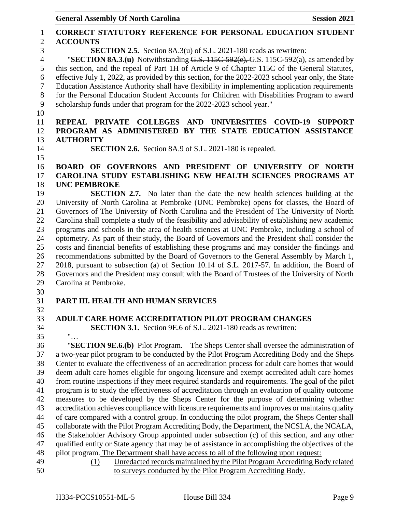General Assembly Of North Carolina **Session 2021 CORRECT STATUTORY REFERENCE FOR PERSONAL EDUCATION STUDENT ACCOUNTS SECTION 2.5.** Section 8A.3(u) of S.L. 2021-180 reads as rewritten: "**SECTION 8A.3.(u)** Notwithstanding G.S. 115C-592(e), G.S. 115C-592(a), as amended by this section, and the repeal of Part 1H of Article 9 of Chapter 115C of the General Statutes, effective July 1, 2022, as provided by this section, for the 2022-2023 school year only, the State Education Assistance Authority shall have flexibility in implementing application requirements for the Personal Education Student Accounts for Children with Disabilities Program to award scholarship funds under that program for the 2022-2023 school year." **REPEAL PRIVATE COLLEGES AND UNIVERSITIES COVID-19 SUPPORT PROGRAM AS ADMINISTERED BY THE STATE EDUCATION ASSISTANCE AUTHORITY SECTION 2.6.** Section 8A.9 of S.L. 2021-180 is repealed. **BOARD OF GOVERNORS AND PRESIDENT OF UNIVERSITY OF NORTH CAROLINA STUDY ESTABLISHING NEW HEALTH SCIENCES PROGRAMS AT UNC PEMBROKE SECTION 2.7.** No later than the date the new health sciences building at the University of North Carolina at Pembroke (UNC Pembroke) opens for classes, the Board of Governors of The University of North Carolina and the President of The University of North Carolina shall complete a study of the feasibility and advisability of establishing new academic programs and schools in the area of health sciences at UNC Pembroke, including a school of optometry. As part of their study, the Board of Governors and the President shall consider the costs and financial benefits of establishing these programs and may consider the findings and recommendations submitted by the Board of Governors to the General Assembly by March 1, 2018, pursuant to subsection (a) of Section 10.14 of S.L. 2017-57. In addition, the Board of Governors and the President may consult with the Board of Trustees of the University of North Carolina at Pembroke. **PART III. HEALTH AND HUMAN SERVICES ADULT CARE HOME ACCREDITATION PILOT PROGRAM CHANGES SECTION 3.1.** Section 9E.6 of S.L. 2021-180 reads as rewritten: "… "**SECTION 9E.6.(b)** Pilot Program. – The Sheps Center shall oversee the administration of a two-year pilot program to be conducted by the Pilot Program Accrediting Body and the Sheps Center to evaluate the effectiveness of an accreditation process for adult care homes that would deem adult care homes eligible for ongoing licensure and exempt accredited adult care homes from routine inspections if they meet required standards and requirements. The goal of the pilot program is to study the effectiveness of accreditation through an evaluation of quality outcome measures to be developed by the Sheps Center for the purpose of determining whether accreditation achieves compliance with licensure requirements and improves or maintains quality of care compared with a control group. In conducting the pilot program, the Sheps Center shall collaborate with the Pilot Program Accrediting Body, the Department, the NCSLA, the NCALA, the Stakeholder Advisory Group appointed under subsection (c) of this section, and any other qualified entity or State agency that may be of assistance in accomplishing the objectives of the pilot program. The Department shall have access to all of the following upon request: (1) Unredacted records maintained by the Pilot Program Accrediting Body related to surveys conducted by the Pilot Program Accrediting Body.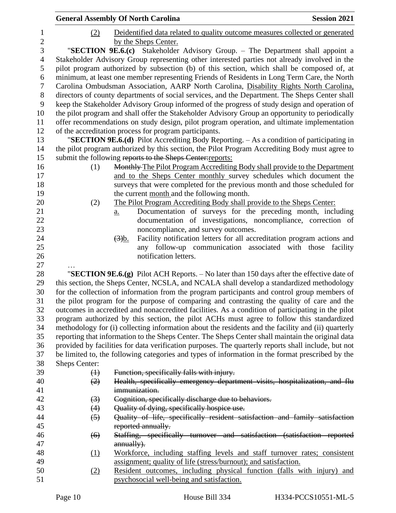|                 |                   | <b>General Assembly Of North Carolina</b>                                                                                                                                                       | <b>Session 2021</b> |
|-----------------|-------------------|-------------------------------------------------------------------------------------------------------------------------------------------------------------------------------------------------|---------------------|
| $\mathbf{1}$    | (2)               | Deidentified data related to quality outcome measures collected or generated                                                                                                                    |                     |
| $\sqrt{2}$<br>3 |                   | by the Sheps Center.<br>"SECTION 9E.6.(c) Stakeholder Advisory Group. - The Department shall appoint a                                                                                          |                     |
| $\overline{4}$  |                   | Stakeholder Advisory Group representing other interested parties not already involved in the                                                                                                    |                     |
| 5               |                   | pilot program authorized by subsection (b) of this section, which shall be composed of, at                                                                                                      |                     |
| 6               |                   | minimum, at least one member representing Friends of Residents in Long Term Care, the North                                                                                                     |                     |
| $\tau$          |                   | Carolina Ombudsman Association, AARP North Carolina, Disability Rights North Carolina,                                                                                                          |                     |
| $8\,$           |                   | directors of county departments of social services, and the Department. The Sheps Center shall                                                                                                  |                     |
| 9               |                   | keep the Stakeholder Advisory Group informed of the progress of study design and operation of                                                                                                   |                     |
| 10              |                   | the pilot program and shall offer the Stakeholder Advisory Group an opportunity to periodically                                                                                                 |                     |
| 11              |                   | offer recommendations on study design, pilot program operation, and ultimate implementation                                                                                                     |                     |
| 12              |                   | of the accreditation process for program participants.                                                                                                                                          |                     |
| 13<br>14        |                   | "SECTION 9E.6.(d) Pilot Accrediting Body Reporting. - As a condition of participating in<br>the pilot program authorized by this section, the Pilot Program Accrediting Body must agree to      |                     |
| 15              |                   | submit the following reports to the Sheps Center: reports:                                                                                                                                      |                     |
| 16              | (1)               | Monthly-The Pilot Program Accrediting Body shall provide to the Department                                                                                                                      |                     |
| 17              |                   | and to the Sheps Center monthly survey schedules which document the                                                                                                                             |                     |
| 18              |                   | surveys that were completed for the previous month and those scheduled for                                                                                                                      |                     |
| 19              |                   | the current month and the following month.                                                                                                                                                      |                     |
| 20              | (2)               | The Pilot Program Accrediting Body shall provide to the Sheps Center:                                                                                                                           |                     |
| 21              |                   | Documentation of surveys for the preceding month, including<br>a.                                                                                                                               |                     |
| 22              |                   | documentation of investigations, noncompliance, correction of                                                                                                                                   |                     |
| 23              |                   | noncompliance, and survey outcomes.                                                                                                                                                             |                     |
| 24              |                   | Facility notification letters for all accreditation program actions and<br>$\left(\frac{3}{2}\right)$ <sub>b</sub> .                                                                            |                     |
| 25              |                   | any follow-up communication associated with those                                                                                                                                               | facility            |
| 26              |                   | notification letters.                                                                                                                                                                           |                     |
| 27              |                   |                                                                                                                                                                                                 |                     |
| 28              |                   | "SECTION $9E.6(g)$ Pilot ACH Reports. $-$ No later than 150 days after the effective date of                                                                                                    |                     |
| 29              |                   | this section, the Sheps Center, NCSLA, and NCALA shall develop a standardized methodology                                                                                                       |                     |
| 30              |                   | for the collection of information from the program participants and control group members of                                                                                                    |                     |
| 31              |                   | the pilot program for the purpose of comparing and contrasting the quality of care and the                                                                                                      |                     |
| 32<br>33        |                   | outcomes in accredited and nonaccredited facilities. As a condition of participating in the pilot                                                                                               |                     |
| 34              |                   | program authorized by this section, the pilot ACHs must agree to follow this standardized<br>methodology for (i) collecting information about the residents and the facility and (ii) quarterly |                     |
| 35              |                   | reporting that information to the Sheps Center. The Sheps Center shall maintain the original data                                                                                               |                     |
| 36              |                   | provided by facilities for data verification purposes. The quarterly reports shall include, but not                                                                                             |                     |
| 37              |                   | be limited to, the following categories and types of information in the format prescribed by the                                                                                                |                     |
| 38              | Sheps Center:     |                                                                                                                                                                                                 |                     |
| 39              | $\leftrightarrow$ | Function, specifically falls with injury.                                                                                                                                                       |                     |
| 40              | (2)               | Health, specifically emergency department visits, hospitalization, and flu                                                                                                                      |                     |
| 41              |                   | immunization.                                                                                                                                                                                   |                     |
| 42              | $\left(3\right)$  | Cognition, specifically discharge due to behaviors.                                                                                                                                             |                     |
| 43              | (4)               | Quality of dying, specifically hospice use.                                                                                                                                                     |                     |
| 44              | $\left(5\right)$  | Quality of life, specifically resident satisfaction and family satisfaction                                                                                                                     |                     |
| 45              |                   | reported annually.                                                                                                                                                                              |                     |
| 46              | (6)               | Staffing, specifically turnover and satisfaction (satisfaction reported                                                                                                                         |                     |
| 47              |                   | annually).                                                                                                                                                                                      |                     |
| 48              | (1)               | Workforce, including staffing levels and staff turnover rates; consistent                                                                                                                       |                     |
| 49              |                   | assignment; quality of life (stress/burnout); and satisfaction.                                                                                                                                 |                     |
| 50              | (2)               | Resident outcomes, including physical function (falls with injury) and                                                                                                                          |                     |
| 51              |                   | psychosocial well-being and satisfaction.                                                                                                                                                       |                     |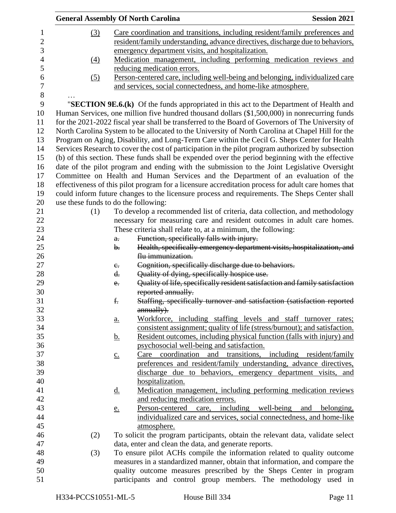| <b>General Assembly Of North Carolina</b> |                   |                                                                                                     | <b>Session 2021</b> |
|-------------------------------------------|-------------------|-----------------------------------------------------------------------------------------------------|---------------------|
| (3)                                       |                   | Care coordination and transitions, including resident/family preferences and                        |                     |
|                                           |                   | resident/family understanding, advance directives, discharge due to behaviors,                      |                     |
|                                           |                   | emergency department visits, and hospitalization.                                                   |                     |
| (4)                                       |                   | Medication management, including performing medication reviews and                                  |                     |
|                                           |                   | reducing medication errors.                                                                         |                     |
| (5)                                       |                   | Person-centered care, including well-being and belonging, individualized care                       |                     |
|                                           |                   | and services, social connectedness, and home-like atmosphere.                                       |                     |
|                                           |                   |                                                                                                     |                     |
|                                           |                   | "SECTION 9E.6.(k) Of the funds appropriated in this act to the Department of Health and             |                     |
|                                           |                   | Human Services, one million five hundred thousand dollars (\$1,500,000) in nonrecurring funds       |                     |
|                                           |                   | for the 2021-2022 fiscal year shall be transferred to the Board of Governors of The University of   |                     |
|                                           |                   | North Carolina System to be allocated to the University of North Carolina at Chapel Hill for the    |                     |
|                                           |                   | Program on Aging, Disability, and Long-Term Care within the Cecil G. Sheps Center for Health        |                     |
|                                           |                   | Services Research to cover the cost of participation in the pilot program authorized by subsection  |                     |
|                                           |                   |                                                                                                     |                     |
|                                           |                   | (b) of this section. These funds shall be expended over the period beginning with the effective     |                     |
|                                           |                   | date of the pilot program and ending with the submission to the Joint Legislative Oversight         |                     |
|                                           |                   | Committee on Health and Human Services and the Department of an evaluation of the                   |                     |
|                                           |                   | effectiveness of this pilot program for a licensure accreditation process for adult care homes that |                     |
|                                           |                   | could inform future changes to the licensure process and requirements. The Sheps Center shall       |                     |
| use these funds to do the following:      |                   |                                                                                                     |                     |
| (1)                                       |                   | To develop a recommended list of criteria, data collection, and methodology                         |                     |
|                                           |                   | necessary for measuring care and resident outcomes in adult care homes.                             |                     |
|                                           |                   | These criteria shall relate to, at a minimum, the following:                                        |                     |
|                                           | a.                | Function, specifically falls with injury.                                                           |                     |
|                                           | b.                | Health, specifically emergency department visits, hospitalization, and                              |                     |
|                                           |                   | flu-immunization.                                                                                   |                     |
|                                           | $e_{\cdot}$       | Cognition, specifically discharge due to behaviors.                                                 |                     |
|                                           | $\mathbf{d}$ .    | Quality of dying, specifically hospice use.                                                         |                     |
|                                           | $e_{i}$           | Quality of life, specifically resident satisfaction and family satisfaction                         |                     |
|                                           |                   | reported annually.                                                                                  |                     |
|                                           | £.                | Staffing, specifically turnover and satisfaction (satisfaction reported                             |                     |
|                                           |                   | annually).                                                                                          |                     |
|                                           | a.                | Workforce, including staffing levels and staff turnover rates;                                      |                     |
|                                           |                   | consistent assignment; quality of life (stress/burnout); and satisfaction.                          |                     |
|                                           | <u>b.</u>         | Resident outcomes, including physical function (falls with injury) and                              |                     |
|                                           |                   | psychosocial well-being and satisfaction.                                                           |                     |
|                                           | $\underline{c}$ . | Care coordination and transitions, including resident/family                                        |                     |
|                                           |                   | preferences and resident/family understanding, advance directives,                                  |                     |
|                                           |                   | discharge due to behaviors, emergency department visits, and                                        |                     |
|                                           |                   | hospitalization.                                                                                    |                     |
|                                           | <u>d.</u>         | Medication management, including performing medication reviews                                      |                     |
|                                           |                   | and reducing medication errors.                                                                     |                     |
|                                           | <u>e.</u>         | Person-centered care, including well-being and belonging,                                           |                     |
|                                           |                   | individualized care and services, social connectedness, and home-like                               |                     |
|                                           |                   | atmosphere.                                                                                         |                     |
| (2)                                       |                   | To solicit the program participants, obtain the relevant data, validate select                      |                     |
|                                           |                   | data, enter and clean the data, and generate reports.                                               |                     |
| (3)                                       |                   | To ensure pilot ACHs compile the information related to quality outcome                             |                     |
|                                           |                   | measures in a standardized manner, obtain that information, and compare the                         |                     |
|                                           |                   | quality outcome measures prescribed by the Sheps Center in program                                  |                     |
|                                           |                   | participants and control group members. The methodology used in                                     |                     |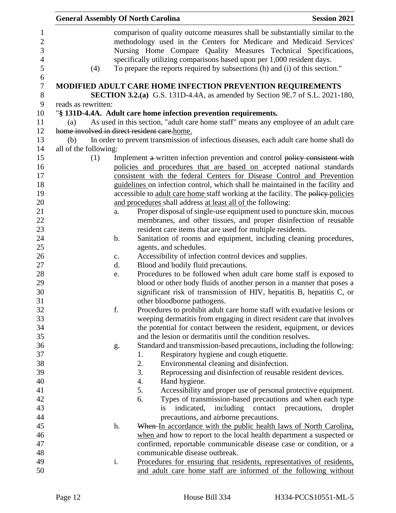|                       |     |               | <b>General Assembly Of North Carolina</b>                                                                                                                                                                                                                                                                                                                                        | <b>Session 2021</b> |
|-----------------------|-----|---------------|----------------------------------------------------------------------------------------------------------------------------------------------------------------------------------------------------------------------------------------------------------------------------------------------------------------------------------------------------------------------------------|---------------------|
|                       | (4) |               | comparison of quality outcome measures shall be substantially similar to the<br>methodology used in the Centers for Medicare and Medicaid Services'<br>Nursing Home Compare Quality Measures Technical Specifications,<br>specifically utilizing comparisons based upon per 1,000 resident days.<br>To prepare the reports required by subsections (h) and (i) of this section." |                     |
|                       |     |               | MODIFIED ADULT CARE HOME INFECTION PREVENTION REQUIREMENTS                                                                                                                                                                                                                                                                                                                       |                     |
|                       |     |               | <b>SECTION 3.2.(a)</b> G.S. 131D-4.4A, as amended by Section 9E.7 of S.L. 2021-180,                                                                                                                                                                                                                                                                                              |                     |
| reads as rewritten:   |     |               |                                                                                                                                                                                                                                                                                                                                                                                  |                     |
|                       |     |               | "§ 131D-4.4A. Adult care home infection prevention requirements.                                                                                                                                                                                                                                                                                                                 |                     |
| (a)                   |     |               | As used in this section, "adult care home staff" means any employee of an adult care                                                                                                                                                                                                                                                                                             |                     |
|                       |     |               | home involved in direct resident care.home.                                                                                                                                                                                                                                                                                                                                      |                     |
| (b)                   |     |               | In order to prevent transmission of infectious diseases, each adult care home shall do                                                                                                                                                                                                                                                                                           |                     |
| all of the following: |     |               |                                                                                                                                                                                                                                                                                                                                                                                  |                     |
|                       | (1) |               | Implement a written infection prevention and control policy consistent with<br>policies and procedures that are based on accepted national standards                                                                                                                                                                                                                             |                     |
|                       |     |               | consistent with the federal Centers for Disease Control and Prevention                                                                                                                                                                                                                                                                                                           |                     |
|                       |     |               | guidelines on infection control, which shall be maintained in the facility and                                                                                                                                                                                                                                                                                                   |                     |
|                       |     |               | accessible to adult care home staff working at the facility. The policy-policies                                                                                                                                                                                                                                                                                                 |                     |
|                       |     |               | and procedures shall address at least all of the following:                                                                                                                                                                                                                                                                                                                      |                     |
|                       |     | a.            | Proper disposal of single-use equipment used to puncture skin, mucous                                                                                                                                                                                                                                                                                                            |                     |
|                       |     |               | membranes, and other tissues, and proper disinfection of reusable                                                                                                                                                                                                                                                                                                                |                     |
|                       |     |               | resident care items that are used for multiple residents.                                                                                                                                                                                                                                                                                                                        |                     |
|                       |     | $\mathbf b$ . | Sanitation of rooms and equipment, including cleaning procedures,                                                                                                                                                                                                                                                                                                                |                     |
|                       |     |               | agents, and schedules.                                                                                                                                                                                                                                                                                                                                                           |                     |
|                       |     | $C_{\bullet}$ | Accessibility of infection control devices and supplies.                                                                                                                                                                                                                                                                                                                         |                     |
|                       |     | d.            | Blood and bodily fluid precautions.                                                                                                                                                                                                                                                                                                                                              |                     |
|                       |     | e.            | Procedures to be followed when adult care home staff is exposed to                                                                                                                                                                                                                                                                                                               |                     |
|                       |     |               | blood or other body fluids of another person in a manner that poses a                                                                                                                                                                                                                                                                                                            |                     |
|                       |     |               | significant risk of transmission of HIV, hepatitis B, hepatitis C, or                                                                                                                                                                                                                                                                                                            |                     |
|                       |     |               | other bloodborne pathogens.                                                                                                                                                                                                                                                                                                                                                      |                     |
|                       |     | f.            | Procedures to prohibit adult care home staff with exudative lesions or                                                                                                                                                                                                                                                                                                           |                     |
|                       |     |               | weeping dermatitis from engaging in direct resident care that involves                                                                                                                                                                                                                                                                                                           |                     |
|                       |     |               | the potential for contact between the resident, equipment, or devices                                                                                                                                                                                                                                                                                                            |                     |
|                       |     |               | and the lesion or dermatitis until the condition resolves.                                                                                                                                                                                                                                                                                                                       |                     |
|                       |     | g.            | Standard and transmission-based precautions, including the following:                                                                                                                                                                                                                                                                                                            |                     |
|                       |     |               | Respiratory hygiene and cough etiquette.<br>1.                                                                                                                                                                                                                                                                                                                                   |                     |
|                       |     |               | 2.<br>Environmental cleaning and disinfection.<br>3.                                                                                                                                                                                                                                                                                                                             |                     |
|                       |     |               | Reprocessing and disinfection of reusable resident devices.<br>4.<br>Hand hygiene.                                                                                                                                                                                                                                                                                               |                     |
|                       |     |               | Accessibility and proper use of personal protective equipment.<br>5.                                                                                                                                                                                                                                                                                                             |                     |
|                       |     |               | Types of transmission-based precautions and when each type<br>6.                                                                                                                                                                                                                                                                                                                 |                     |
|                       |     |               | including contact precautions,<br>indicated,<br>is                                                                                                                                                                                                                                                                                                                               | droplet             |
|                       |     |               | precautions, and airborne precautions.                                                                                                                                                                                                                                                                                                                                           |                     |
|                       |     | h.            | When-In accordance with the public health laws of North Carolina,                                                                                                                                                                                                                                                                                                                |                     |
|                       |     |               | when and how to report to the local health department a suspected or                                                                                                                                                                                                                                                                                                             |                     |
|                       |     |               | confirmed, reportable communicable disease case or condition, or a                                                                                                                                                                                                                                                                                                               |                     |
|                       |     |               | communicable disease outbreak.                                                                                                                                                                                                                                                                                                                                                   |                     |
|                       |     | i.            | Procedures for ensuring that residents, representatives of residents,                                                                                                                                                                                                                                                                                                            |                     |
|                       |     |               | and adult care home staff are informed of the following without                                                                                                                                                                                                                                                                                                                  |                     |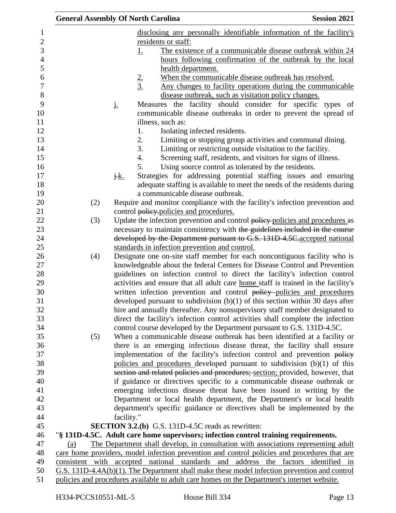| <b>General Assembly Of North Carolina</b> |             |               |                                                                                                                                                           | <b>Session 2021</b> |
|-------------------------------------------|-------------|---------------|-----------------------------------------------------------------------------------------------------------------------------------------------------------|---------------------|
|                                           |             |               | disclosing any personally identifiable information of the facility's                                                                                      |                     |
|                                           |             |               | residents or staff:                                                                                                                                       |                     |
|                                           |             | <u>1.</u>     | The existence of a communicable disease outbreak within 24                                                                                                |                     |
|                                           |             |               | hours following confirmation of the outbreak by the local                                                                                                 |                     |
|                                           |             |               | health department.                                                                                                                                        |                     |
|                                           |             |               | When the communicable disease outbreak has resolved.                                                                                                      |                     |
|                                           |             | $\frac{2}{3}$ | <u>Any changes to facility operations during the communicable</u>                                                                                         |                     |
|                                           |             |               | disease outbreak, such as visitation policy changes.                                                                                                      |                     |
|                                           | <u>i.</u>   |               | Measures the facility should consider for specific types of                                                                                               |                     |
|                                           |             |               | communicable disease outbreaks in order to prevent the spread of                                                                                          |                     |
|                                           |             |               | illness, such as:                                                                                                                                         |                     |
|                                           |             | 1.            | Isolating infected residents.                                                                                                                             |                     |
|                                           |             | 2.            | Limiting or stopping group activities and communal dining.                                                                                                |                     |
|                                           |             | 3.            | Limiting or restricting outside visitation to the facility.                                                                                               |                     |
|                                           |             | 4.            | Screening staff, residents, and visitors for signs of illness.                                                                                            |                     |
|                                           |             | 5.            | Using source control as tolerated by the residents.                                                                                                       |                     |
|                                           | <u>j.k.</u> |               | Strategies for addressing potential staffing issues and ensuring                                                                                          |                     |
|                                           |             |               | adequate staffing is available to meet the needs of the residents during                                                                                  |                     |
|                                           |             |               | a communicable disease outbreak.                                                                                                                          |                     |
| (2)                                       |             |               | Require and monitor compliance with the facility's infection prevention and                                                                               |                     |
|                                           |             |               | control policy-policies and procedures.                                                                                                                   |                     |
| (3)                                       |             |               | Update the infection prevention and control policy policies and procedures as                                                                             |                     |
|                                           |             |               | necessary to maintain consistency with the guidelines included in the course                                                                              |                     |
|                                           |             |               | developed by the Department pursuant to G.S. 131D 4.5C accepted national                                                                                  |                     |
|                                           |             |               | standards in infection prevention and control.                                                                                                            |                     |
| (4)                                       |             |               | Designate one on-site staff member for each noncontiguous facility who is                                                                                 |                     |
|                                           |             |               | knowledgeable about the federal Centers for Disease Control and Prevention                                                                                |                     |
|                                           |             |               | guidelines on infection control to direct the facility's infection control                                                                                |                     |
|                                           |             |               | activities and ensure that all adult care home staff is trained in the facility's                                                                         |                     |
|                                           |             |               | written infection prevention and control policy policies and procedures                                                                                   |                     |
|                                           |             |               | developed pursuant to subdivision $(b)(1)$ of this section within 30 days after                                                                           |                     |
|                                           |             |               | hire and annually thereafter. Any nonsupervisory staff member designated to                                                                               |                     |
|                                           |             |               | direct the facility's infection control activities shall complete the infection                                                                           |                     |
|                                           |             |               | control course developed by the Department pursuant to G.S. 131D-4.5C.                                                                                    |                     |
| (5)                                       |             |               | When a communicable disease outbreak has been identified at a facility or                                                                                 |                     |
|                                           |             |               | there is an emerging infectious disease threat, the facility shall ensure                                                                                 |                     |
|                                           |             |               | implementation of the facility's infection control and prevention policy                                                                                  |                     |
|                                           |             |               | policies and procedures developed pursuant to subdivision $(b)(1)$ of this                                                                                |                     |
|                                           |             |               | section and related policies and procedures; section; provided, however, that<br>if guidance or directives specific to a communicable disease outbreak or |                     |
|                                           |             |               | emerging infectious disease threat have been issued in writing by the                                                                                     |                     |
|                                           |             |               |                                                                                                                                                           |                     |
|                                           |             |               | Department or local health department, the Department's or local health                                                                                   |                     |
|                                           |             |               | department's specific guidance or directives shall be implemented by the                                                                                  |                     |
|                                           | facility."  |               | <b>SECTION 3.2.(b)</b> G.S. 131D-4.5C reads as rewritten:                                                                                                 |                     |
|                                           |             |               | "§ 131D-4.5C. Adult care home supervisors; infection control training requirements.                                                                       |                     |
| (a)                                       |             |               | The Department shall develop, in consultation with associations representing adult                                                                        |                     |
|                                           |             |               | care home providers, model infection prevention and control policies and procedures that are                                                              |                     |
|                                           |             |               | consistent with accepted national standards and address the factors identified in                                                                         |                     |
|                                           |             |               | $G.S. 131D-4.4A(b)(1)$ . The Department shall make these model infection prevention and control                                                           |                     |
|                                           |             |               | policies and procedures available to adult care homes on the Department's internet website.                                                               |                     |
|                                           |             |               |                                                                                                                                                           |                     |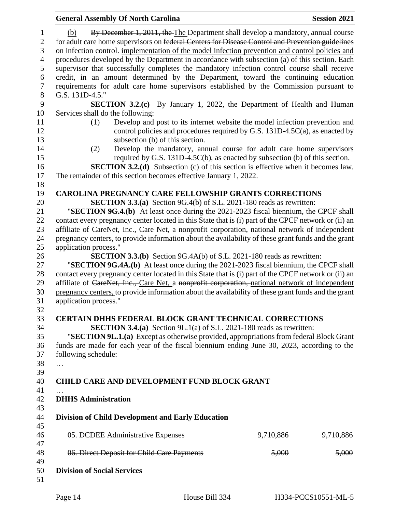| <b>General Assembly Of North Carolina</b>                                                                                                                                                                                                                                                                                                                                                        |           | <b>Session 2021</b> |
|--------------------------------------------------------------------------------------------------------------------------------------------------------------------------------------------------------------------------------------------------------------------------------------------------------------------------------------------------------------------------------------------------|-----------|---------------------|
| By December 1, 2011, the The Department shall develop a mandatory, annual course<br>(b)<br>for adult care home supervisors on federal Centers for Disease Control and Prevention guidelines<br>on infection control. implementation of the model infection prevention and control policies and<br>procedures developed by the Department in accordance with subsection (a) of this section. Each |           |                     |
| supervisor that successfully completes the mandatory infection control course shall receive                                                                                                                                                                                                                                                                                                      |           |                     |
| credit, in an amount determined by the Department, toward the continuing education<br>requirements for adult care home supervisors established by the Commission pursuant to                                                                                                                                                                                                                     |           |                     |
| G.S. 131D-4.5."                                                                                                                                                                                                                                                                                                                                                                                  |           |                     |
| <b>SECTION 3.2.(c)</b> By January 1, 2022, the Department of Health and Human<br>Services shall do the following:                                                                                                                                                                                                                                                                                |           |                     |
| Develop and post to its internet website the model infection prevention and<br>(1)                                                                                                                                                                                                                                                                                                               |           |                     |
| control policies and procedures required by G.S. 131D-4.5C(a), as enacted by<br>subsection (b) of this section.                                                                                                                                                                                                                                                                                  |           |                     |
| Develop the mandatory, annual course for adult care home supervisors<br>(2)                                                                                                                                                                                                                                                                                                                      |           |                     |
| required by G.S. 131D-4.5C(b), as enacted by subsection (b) of this section.                                                                                                                                                                                                                                                                                                                     |           |                     |
| <b>SECTION 3.2.(d)</b> Subsection (c) of this section is effective when it becomes law.                                                                                                                                                                                                                                                                                                          |           |                     |
| The remainder of this section becomes effective January 1, 2022.                                                                                                                                                                                                                                                                                                                                 |           |                     |
|                                                                                                                                                                                                                                                                                                                                                                                                  |           |                     |
| <b>CAROLINA PREGNANCY CARE FELLOWSHIP GRANTS CORRECTIONS</b>                                                                                                                                                                                                                                                                                                                                     |           |                     |
| <b>SECTION 3.3.(a)</b> Section 9G.4(b) of S.L. 2021-180 reads as rewritten:                                                                                                                                                                                                                                                                                                                      |           |                     |
| "SECTION 9G.4.(b) At least once during the 2021-2023 fiscal biennium, the CPCF shall                                                                                                                                                                                                                                                                                                             |           |                     |
| contact every pregnancy center located in this State that is (i) part of the CPCF network or (ii) an                                                                                                                                                                                                                                                                                             |           |                     |
| affiliate of CareNet, Inc., Care Net, a nonprofit corporation, national network of independent                                                                                                                                                                                                                                                                                                   |           |                     |
| pregnancy centers, to provide information about the availability of these grant funds and the grant                                                                                                                                                                                                                                                                                              |           |                     |
| application process."                                                                                                                                                                                                                                                                                                                                                                            |           |                     |
| <b>SECTION 3.3.(b)</b> Section 9G.4A(b) of S.L. 2021-180 reads as rewritten:                                                                                                                                                                                                                                                                                                                     |           |                     |
| "SECTION 9G.4A.(b) At least once during the 2021-2023 fiscal biennium, the CPCF shall                                                                                                                                                                                                                                                                                                            |           |                     |
| contact every pregnancy center located in this State that is (i) part of the CPCF network or (ii) an                                                                                                                                                                                                                                                                                             |           |                     |
| affiliate of CareNet, Inc., Care Net, a nonprofit corporation, national network of independent                                                                                                                                                                                                                                                                                                   |           |                     |
| pregnancy centers, to provide information about the availability of these grant funds and the grant<br>application process."                                                                                                                                                                                                                                                                     |           |                     |
| <b>CERTAIN DHHS FEDERAL BLOCK GRANT TECHNICAL CORRECTIONS</b>                                                                                                                                                                                                                                                                                                                                    |           |                     |
| <b>SECTION 3.4.(a)</b> Section 9L.1(a) of S.L. 2021-180 reads as rewritten:                                                                                                                                                                                                                                                                                                                      |           |                     |
| "SECTION 9L.1.(a) Except as otherwise provided, appropriations from federal Block Grant                                                                                                                                                                                                                                                                                                          |           |                     |
| funds are made for each year of the fiscal biennium ending June 30, 2023, according to the                                                                                                                                                                                                                                                                                                       |           |                     |
| following schedule:                                                                                                                                                                                                                                                                                                                                                                              |           |                     |
| $\cdots$                                                                                                                                                                                                                                                                                                                                                                                         |           |                     |
|                                                                                                                                                                                                                                                                                                                                                                                                  |           |                     |
| <b>CHILD CARE AND DEVELOPMENT FUND BLOCK GRANT</b>                                                                                                                                                                                                                                                                                                                                               |           |                     |
|                                                                                                                                                                                                                                                                                                                                                                                                  |           |                     |
| <b>DHHS Administration</b>                                                                                                                                                                                                                                                                                                                                                                       |           |                     |
| <b>Division of Child Development and Early Education</b>                                                                                                                                                                                                                                                                                                                                         |           |                     |
| 05. DCDEE Administrative Expenses                                                                                                                                                                                                                                                                                                                                                                | 9,710,886 | 9,710,886           |
| 06. Direct Deposit for Child Care Payments                                                                                                                                                                                                                                                                                                                                                       | 5,000     | <del>5,000</del>    |
| <b>Division of Social Services</b>                                                                                                                                                                                                                                                                                                                                                               |           |                     |
|                                                                                                                                                                                                                                                                                                                                                                                                  |           |                     |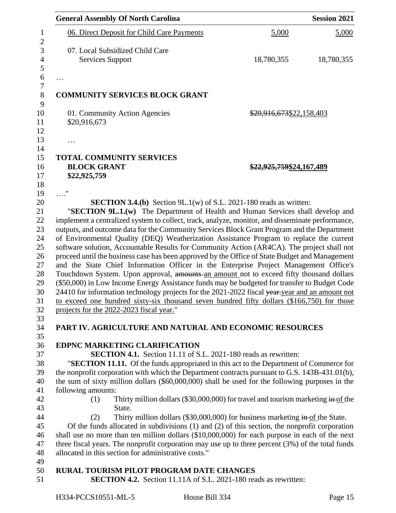|                    | <b>General Assembly Of North Carolina</b>                                                                                                                    |                          | <b>Session 2021</b> |
|--------------------|--------------------------------------------------------------------------------------------------------------------------------------------------------------|--------------------------|---------------------|
|                    | 06. Direct Deposit for Child Care Payments                                                                                                                   | 5,000                    | 5,000               |
|                    | 07. Local Subsidized Child Care                                                                                                                              |                          |                     |
|                    | <b>Services Support</b>                                                                                                                                      | 18,780,355               | 18,780,355          |
| .                  |                                                                                                                                                              |                          |                     |
|                    | <b>COMMUNITY SERVICES BLOCK GRANT</b>                                                                                                                        |                          |                     |
|                    | 01. Community Action Agencies                                                                                                                                | \$20,916,673\$22,158,403 |                     |
| \$20,916,673       |                                                                                                                                                              |                          |                     |
| .                  |                                                                                                                                                              |                          |                     |
|                    | <b>TOTAL COMMUNITY SERVICES</b>                                                                                                                              |                          |                     |
| <b>BLOCK GRANT</b> |                                                                                                                                                              | \$22,925,759\$24,167,489 |                     |
| \$22,925,759       |                                                                                                                                                              |                          |                     |
| . "                |                                                                                                                                                              |                          |                     |
|                    | <b>SECTION 3.4.(b)</b> Section 9L.1(w) of S.L. 2021-180 reads as written:<br>"SECTION 9L.1.(w) The Department of Health and Human Services shall develop and |                          |                     |
|                    | implement a centralized system to collect, track, analyze, monitor, and disseminate performance,                                                             |                          |                     |
|                    | outputs, and outcome data for the Community Services Block Grant Program and the Department                                                                  |                          |                     |
|                    | of Environmental Quality (DEQ) Weatherization Assistance Program to replace the current                                                                      |                          |                     |
|                    | software solution, Accountable Results for Community Action (AR4CA). The project shall not                                                                   |                          |                     |
|                    | proceed until the business case has been approved by the Office of State Budget and Management                                                               |                          |                     |
|                    | and the State Chief Information Officer in the Enterprise Project Management Office's                                                                        |                          |                     |
|                    | Touchdown System. Upon approval, amounts-an amount not to exceed fifty thousand dollars                                                                      |                          |                     |
|                    | (\$50,000) in Low Income Energy Assistance funds may be budgeted for transfer to Budget Code                                                                 |                          |                     |
|                    | 24410 for information technology projects for the 2021-2022 fiscal year-year and an amount not                                                               |                          |                     |
|                    | to exceed one hundred sixty-six thousand seven hundred fifty dollars (\$166,750) for those                                                                   |                          |                     |
|                    | projects for the 2022-2023 fiscal year."                                                                                                                     |                          |                     |
|                    |                                                                                                                                                              |                          |                     |
|                    | PART IV. AGRICULTURE AND NATURAL AND ECONOMIC RESOURCES                                                                                                      |                          |                     |
|                    |                                                                                                                                                              |                          |                     |
|                    | EDPNC MARKETING CLARIFICATION                                                                                                                                |                          |                     |
|                    | <b>SECTION 4.1.</b> Section 11.11 of S.L. 2021-180 reads as rewritten:                                                                                       |                          |                     |
|                    | "SECTION 11.11. Of the funds appropriated in this act to the Department of Commerce for                                                                      |                          |                     |
|                    | the nonprofit corporation with which the Department contracts pursuant to G.S. 143B-431.01(b),                                                               |                          |                     |
|                    | the sum of sixty million dollars (\$60,000,000) shall be used for the following purposes in the                                                              |                          |                     |
| following amounts: |                                                                                                                                                              |                          |                     |
| (1)                | Thirty million dollars (\$30,000,000) for travel and tourism marketing $\frac{1}{2}$ the                                                                     |                          |                     |
|                    | State.                                                                                                                                                       |                          |                     |
| (2)                | Thirty million dollars $(\$30,000,000)$ for business marketing in of the State.                                                                              |                          |                     |
|                    | Of the funds allocated in subdivisions $(1)$ and $(2)$ of this section, the nonprofit corporation                                                            |                          |                     |
|                    | shall use no more than ten million dollars $(\$10,000,000)$ for each purpose in each of the next                                                             |                          |                     |
|                    | three fiscal years. The nonprofit corporation may use up to three percent $(3%)$ of the total funds                                                          |                          |                     |
|                    | allocated in this section for administrative costs."                                                                                                         |                          |                     |
|                    | RURAL TOURISM PILOT PROGRAM DATE CHANGES                                                                                                                     |                          |                     |
|                    | <b>SECTION 4.2.</b> Section 11.11A of S.L. 2021-180 reads as rewritten:                                                                                      |                          |                     |
|                    |                                                                                                                                                              |                          |                     |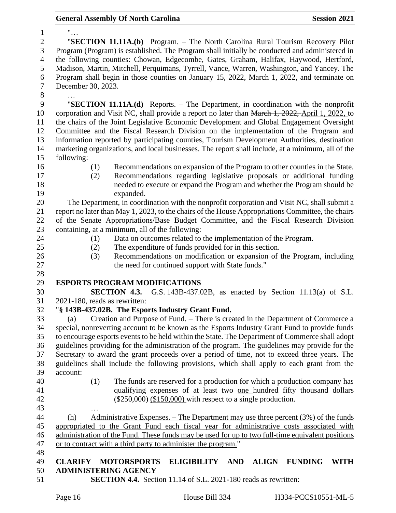| <b>General Assembly Of North Carolina</b> |  |  |
|-------------------------------------------|--|--|
|-------------------------------------------|--|--|

| $\mathbf{1}$     | $\frac{0}{\sqrt{1+\epsilon}}$                                                                                             |
|------------------|---------------------------------------------------------------------------------------------------------------------------|
| $\overline{c}$   | "SECTION 11.11A.(b) Program. – The North Carolina Rural Tourism Recovery Pilot                                            |
| 3                | Program (Program) is established. The Program shall initially be conducted and administered in                            |
| $\overline{4}$   | the following counties: Chowan, Edgecombe, Gates, Graham, Halifax, Haywood, Hertford,                                     |
| 5                | Madison, Martin, Mitchell, Perquimans, Tyrrell, Vance, Warren, Washington, and Yancey. The                                |
| $\boldsymbol{6}$ | Program shall begin in those counties on January 15, 2022, March 1, 2022, and terminate on                                |
| $\overline{7}$   | December 30, 2023.                                                                                                        |
| $8\,$            |                                                                                                                           |
| $\mathbf{9}$     | "SECTION 11.11A.(d) Reports. - The Department, in coordination with the nonprofit                                         |
| 10               | corporation and Visit NC, shall provide a report no later than March 1, 2022, April 1, 2022, to                           |
| 11               | the chairs of the Joint Legislative Economic Development and Global Engagement Oversight                                  |
| 12               | Committee and the Fiscal Research Division on the implementation of the Program and                                       |
| 13               | information reported by participating counties, Tourism Development Authorities, destination                              |
| 14               | marketing organizations, and local businesses. The report shall include, at a minimum, all of the                         |
| 15               | following:                                                                                                                |
| 16               | (1)<br>Recommendations on expansion of the Program to other counties in the State.                                        |
| 17               | Recommendations regarding legislative proposals or additional funding<br>(2)                                              |
| 18               | needed to execute or expand the Program and whether the Program should be                                                 |
| 19               | expanded.                                                                                                                 |
| 20               | The Department, in coordination with the nonprofit corporation and Visit NC, shall submit a                               |
| 21               | report no later than May 1, 2023, to the chairs of the House Appropriations Committee, the chairs                         |
| 22               | of the Senate Appropriations/Base Budget Committee, and the Fiscal Research Division                                      |
| 23               | containing, at a minimum, all of the following:                                                                           |
| 24               | Data on outcomes related to the implementation of the Program.<br>(1)                                                     |
| 25               | The expenditure of funds provided for in this section.<br>(2)                                                             |
| 26               | Recommendations on modification or expansion of the Program, including<br>(3)                                             |
| 27               | the need for continued support with State funds."                                                                         |
| 28               |                                                                                                                           |
| 29               | <b>ESPORTS PROGRAM MODIFICATIONS</b>                                                                                      |
| 30               | <b>SECTION 4.3.</b> G.S. 143B-437.02B, as enacted by Section 11.13(a) of S.L.                                             |
| 31               | 2021-180, reads as rewritten:                                                                                             |
| 32               | "§ 143B-437.02B. The Esports Industry Grant Fund.                                                                         |
| 33               | (a) Creation and Purpose of Fund. – There is created in the Department of Commerce a                                      |
| 34               | special, nonreverting account to be known as the Esports Industry Grant Fund to provide funds                             |
| 35               | to encourage esports events to be held within the State. The Department of Commerce shall adopt                           |
| 36<br>37         | guidelines providing for the administration of the program. The guidelines may provide for the                            |
| 38               | Secretary to award the grant proceeds over a period of time, not to exceed three years. The                               |
| 39               | guidelines shall include the following provisions, which shall apply to each grant from the<br>account:                   |
| 40               | The funds are reserved for a production for which a production company has<br>(1)                                         |
| 41               | qualifying expenses of at least two one hundred fifty thousand dollars                                                    |
| 42               | $(*250,000)$ $(*150,000)$ with respect to a single production.                                                            |
| 43               |                                                                                                                           |
| 44               | Administrative Expenses. $-$ The Department may use three percent $(3\%)$ of the funds<br>(h)                             |
| 45               | appropriated to the Grant Fund each fiscal year for administrative costs associated with                                  |
| 46               | administration of the Fund. These funds may be used for up to two full-time equivalent positions                          |
| 47               | or to contract with a third party to administer the program."                                                             |
| 48               |                                                                                                                           |
| 49               | <b>CLARIFY</b><br><b>MOTORSPORTS</b><br><b>ELIGIBILITY</b><br><b>AND</b><br><b>ALIGN</b><br><b>FUNDING</b><br><b>WITH</b> |
| 50               | <b>ADMINISTERING AGENCY</b>                                                                                               |
|                  |                                                                                                                           |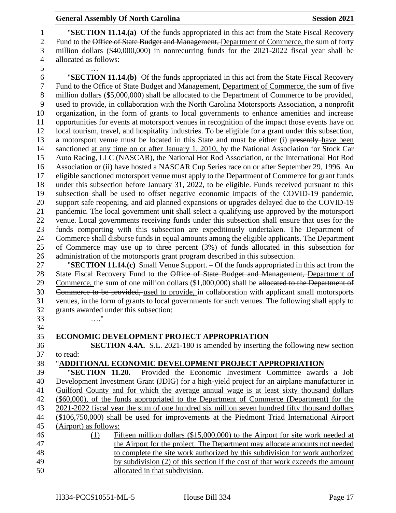"**SECTION 11.14.(a)** Of the funds appropriated in this act from the State Fiscal Recovery 2 Fund to the Office of State Budget and Management, Department of Commerce, the sum of forty million dollars (\$40,000,000) in nonrecurring funds for the 2021-2022 fiscal year shall be allocated as follows:

 … "**SECTION 11.14.(b)** Of the funds appropriated in this act from the State Fiscal Recovery Fund to the Office of State Budget and Management, Department of Commerce, the sum of five 8 million dollars (\$5,000,000) shall be allocated to the Department of Commerce to be provided, used to provide, in collaboration with the North Carolina Motorsports Association, a nonprofit organization, in the form of grants to local governments to enhance amenities and increase opportunities for events at motorsport venues in recognition of the impact those events have on local tourism, travel, and hospitality industries. To be eligible for a grant under this subsection, 13 a motorsport venue must be located in this State and must be either (i) presently-have been 14 sanctioned at any time on or after January 1, 2010, by the National Association for Stock Car Auto Racing, LLC (NASCAR), the National Hot Rod Association, or the International Hot Rod Association or (ii) have hosted a NASCAR Cup Series race on or after September 29, 1996. An eligible sanctioned motorsport venue must apply to the Department of Commerce for grant funds under this subsection before January 31, 2022, to be eligible. Funds received pursuant to this subsection shall be used to offset negative economic impacts of the COVID-19 pandemic, support safe reopening, and aid planned expansions or upgrades delayed due to the COVID-19 pandemic. The local government unit shall select a qualifying use approved by the motorsport venue. Local governments receiving funds under this subsection shall ensure that uses for the funds comporting with this subsection are expeditiously undertaken. The Department of Commerce shall disburse funds in equal amounts among the eligible applicants. The Department of Commerce may use up to three percent (3%) of funds allocated in this subsection for administration of the motorsports grant program described in this subsection.

 "**SECTION 11.14.(c)** Small Venue Support. – Of the funds appropriated in this act from the 28 State Fiscal Recovery Fund to the Office of State Budget and Management, Department of 29 Commerce, the sum of one million dollars (\$1,000,000) shall be allocated to the Department of Commerce to be provided, used to provide, in collaboration with applicant small motorsports venues, in the form of grants to local governments for such venues. The following shall apply to grants awarded under this subsection: …."

## **ECONOMIC DEVELOPMENT PROJECT APPROPRIATION**

 **SECTION 4.4A.** S.L. 2021-180 is amended by inserting the following new section to read:

### "**ADDITIONAL ECONOMIC DEVELOPMENT PROJECT APPROPRIATION**

 "**SECTION 11.20.** Provided the Economic Investment Committee awards a Job Development Investment Grant (JDIG) for a high-yield project for an airplane manufacturer in Guilford County and for which the average annual wage is at least sixty thousand dollars (\$60,000), of the funds appropriated to the Department of Commerce (Department) for the 2021-2022 fiscal year the sum of one hundred six million seven hundred fifty thousand dollars (\$106,750,000) shall be used for improvements at the Piedmont Triad International Airport (Airport) as follows: (1) Fifteen million dollars (\$15,000,000) to the Airport for site work needed at the Airport for the project. The Department may allocate amounts not needed to complete the site work authorized by this subdivision for work authorized by subdivision (2) of this section if the cost of that work exceeds the amount allocated in that subdivision.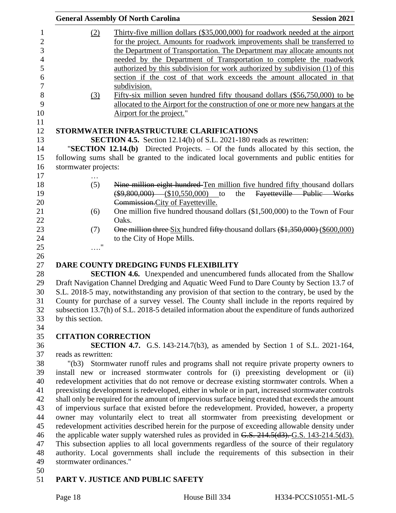|                         |                      | <b>General Assembly Of North Carolina</b>                                                         | <b>Session 2021</b>       |
|-------------------------|----------------------|---------------------------------------------------------------------------------------------------|---------------------------|
|                         | (2)                  | Thirty-five million dollars (\$35,000,000) for roadwork needed at the airport                     |                           |
|                         |                      | for the project. Amounts for roadwork improvements shall be transferred to                        |                           |
|                         |                      | the Department of Transportation. The Department may allocate amounts not                         |                           |
|                         |                      | needed by the Department of Transportation to complete the roadwork                               |                           |
|                         |                      |                                                                                                   |                           |
|                         |                      | authorized by this subdivision for work authorized by subdivision (1) of this                     |                           |
|                         |                      | section if the cost of that work exceeds the amount allocated in that                             |                           |
|                         |                      | subdivision.                                                                                      |                           |
|                         | (3)                  | Fifty-six million seven hundred fifty thousand dollars $(\$56,750,000)$ to be                     |                           |
|                         |                      | allocated to the Airport for the construction of one or more new hangars at the                   |                           |
|                         |                      | Airport for the project."                                                                         |                           |
|                         |                      | STORMWATER INFRASTRUCTURE CLARIFICATIONS                                                          |                           |
|                         |                      |                                                                                                   |                           |
|                         |                      | <b>SECTION 4.5.</b> Section 12.14(b) of S.L. 2021-180 reads as rewritten:                         |                           |
|                         |                      | "SECTION 12.14. $(b)$ Directed Projects. – Of the funds allocated by this section, the            |                           |
|                         |                      | following sums shall be granted to the indicated local governments and public entities for        |                           |
|                         | stormwater projects: |                                                                                                   |                           |
|                         | (5)                  | Nine million eight hundred Ten million five hundred fifty thousand dollars                        |                           |
|                         |                      | $(\$9,800,000)$ (\$10,550,000)<br>the<br>to                                                       | Fayetteville Public Works |
|                         |                      | Commission. City of Fayetteville.                                                                 |                           |
|                         |                      | One million five hundred thousand dollars (\$1,500,000) to the Town of Four                       |                           |
|                         | (6)                  | Oaks.                                                                                             |                           |
|                         |                      |                                                                                                   |                           |
|                         | (7)                  | One million three Six hundred fifty thousand dollars (\$1,350,000) (\$600,000)                    |                           |
|                         | $\ldots$ "           | to the City of Hope Mills.                                                                        |                           |
|                         |                      |                                                                                                   |                           |
|                         |                      | DARE COUNTY DREDGING FUNDS FLEXIBILITY                                                            |                           |
|                         |                      | <b>SECTION 4.6.</b> Unexpended and unencumbered funds allocated from the Shallow                  |                           |
|                         |                      |                                                                                                   |                           |
|                         |                      | Draft Navigation Channel Dredging and Aquatic Weed Fund to Dare County by Section 13.7 of         |                           |
|                         |                      | S.L. 2018-5 may, notwithstanding any provision of that section to the contrary, be used by the    |                           |
|                         |                      | County for purchase of a survey vessel. The County shall include in the reports required by       |                           |
|                         |                      | subsection 13.7(h) of S.L. 2018-5 detailed information about the expenditure of funds authorized  |                           |
| by this section.        |                      |                                                                                                   |                           |
|                         |                      |                                                                                                   |                           |
|                         |                      | <b>CITATION CORRECTION</b>                                                                        |                           |
|                         |                      | <b>SECTION 4.7.</b> G.S. 143-214.7(b3), as amended by Section 1 of S.L. 2021-164,                 |                           |
|                         | reads as rewritten:  |                                                                                                   |                           |
|                         |                      | "(b3) Stormwater runoff rules and programs shall not require private property owners to           |                           |
|                         |                      | install new or increased stormwater controls for (i) preexisting development or (ii)              |                           |
|                         |                      | redevelopment activities that do not remove or decrease existing stormwater controls. When a      |                           |
|                         |                      | preexisting development is redeveloped, either in whole or in part, increased stormwater controls |                           |
|                         |                      | shall only be required for the amount of impervious surface being created that exceeds the amount |                           |
|                         |                      | of impervious surface that existed before the redevelopment. Provided, however, a property        |                           |
|                         |                      | owner may voluntarily elect to treat all stormwater from preexisting development or               |                           |
|                         |                      | redevelopment activities described herein for the purpose of exceeding allowable density under    |                           |
|                         |                      | the applicable water supply watershed rules as provided in G.S. 214.5(d3). G.S. 143-214.5(d3).    |                           |
|                         |                      | This subsection applies to all local governments regardless of the source of their regulatory     |                           |
|                         |                      | authority. Local governments shall include the requirements of this subsection in their           |                           |
| stormwater ordinances." |                      |                                                                                                   |                           |
|                         |                      |                                                                                                   |                           |
|                         |                      |                                                                                                   |                           |

# **PART V. JUSTICE AND PUBLIC SAFETY**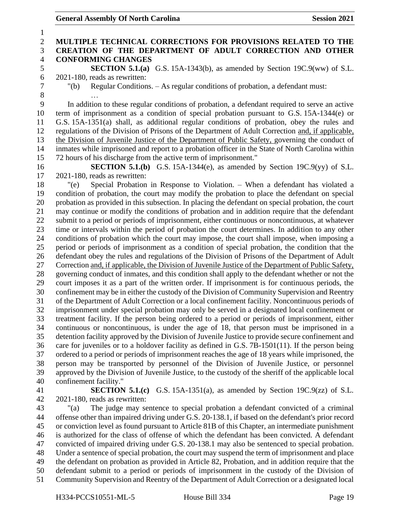| 1              |                                                                                                                                                                                                     |
|----------------|-----------------------------------------------------------------------------------------------------------------------------------------------------------------------------------------------------|
| $\mathbf{2}$   | MULTIPLE TECHNICAL CORRECTIONS FOR PROVISIONS RELATED TO THE                                                                                                                                        |
| 3              | CREATION OF THE DEPARTMENT OF ADULT CORRECTION AND OTHER                                                                                                                                            |
| $\overline{4}$ | <b>CONFORMING CHANGES</b>                                                                                                                                                                           |
| 5              | <b>SECTION 5.1.(a)</b> G.S. 15A-1343(b), as amended by Section 19C.9(ww) of S.L.                                                                                                                    |
| 6              | 2021-180, reads as rewritten:                                                                                                                                                                       |
| $\tau$         | Regular Conditions. - As regular conditions of probation, a defendant must:<br>" $(b)$                                                                                                              |
| 8              |                                                                                                                                                                                                     |
| 9              | In addition to these regular conditions of probation, a defendant required to serve an active                                                                                                       |
| 10             | term of imprisonment as a condition of special probation pursuant to G.S. 15A-1344(e) or                                                                                                            |
| 11             | G.S. 15A-1351(a) shall, as additional regular conditions of probation, obey the rules and                                                                                                           |
| 12             | regulations of the Division of Prisons of the Department of Adult Correction and, if applicable,                                                                                                    |
| 13             | the Division of Juvenile Justice of the Department of Public Safety, governing the conduct of                                                                                                       |
| 14             | inmates while imprisoned and report to a probation officer in the State of North Carolina within                                                                                                    |
| 15             | 72 hours of his discharge from the active term of imprisonment."                                                                                                                                    |
| 16             | <b>SECTION 5.1.(b)</b> G.S. 15A-1344(e), as amended by Section 19C.9(yy) of S.L.                                                                                                                    |
| 17             | 2021-180, reads as rewritten:                                                                                                                                                                       |
| 18             | Special Probation in Response to Violation. - When a defendant has violated a<br>"(e)                                                                                                               |
| 19             | condition of probation, the court may modify the probation to place the defendant on special                                                                                                        |
| 20             | probation as provided in this subsection. In placing the defendant on special probation, the court                                                                                                  |
| 21             | may continue or modify the conditions of probation and in addition require that the defendant                                                                                                       |
| 22             | submit to a period or periods of imprisonment, either continuous or noncontinuous, at whatever                                                                                                      |
| 23             | time or intervals within the period of probation the court determines. In addition to any other                                                                                                     |
| 24             | conditions of probation which the court may impose, the court shall impose, when imposing a                                                                                                         |
| 25             | period or periods of imprisonment as a condition of special probation, the condition that the                                                                                                       |
| 26             | defendant obey the rules and regulations of the Division of Prisons of the Department of Adult                                                                                                      |
| 27             | Correction and, if applicable, the Division of Juvenile Justice of the Department of Public Safety,                                                                                                 |
| 28             | governing conduct of inmates, and this condition shall apply to the defendant whether or not the<br>court imposes it as a part of the written order. If imprisonment is for continuous periods, the |
| 29<br>30       | confinement may be in either the custody of the Division of Community Supervision and Reentry                                                                                                       |
| 31             | of the Department of Adult Correction or a local confinement facility. Noncontinuous periods of                                                                                                     |
| 32             | imprisonment under special probation may only be served in a designated local confinement or                                                                                                        |
| 33             | treatment facility. If the person being ordered to a period or periods of imprisonment, either                                                                                                      |
| 34             | continuous or noncontinuous, is under the age of 18, that person must be imprisoned in a                                                                                                            |
| 35             | detention facility approved by the Division of Juvenile Justice to provide secure confinement and                                                                                                   |
| 36             | care for juveniles or to a holdover facility as defined in G.S. 7B-1501(11). If the person being                                                                                                    |
| 37             | ordered to a period or periods of imprisonment reaches the age of 18 years while imprisoned, the                                                                                                    |
| 38             | person may be transported by personnel of the Division of Juvenile Justice, or personnel                                                                                                            |
| 39             | approved by the Division of Juvenile Justice, to the custody of the sheriff of the applicable local                                                                                                 |
| 40             | confinement facility."                                                                                                                                                                              |
| 41             | <b>SECTION 5.1.(c)</b> G.S. 15A-1351(a), as amended by Section 19C.9(zz) of S.L.                                                                                                                    |
| 42             | 2021-180, reads as rewritten:                                                                                                                                                                       |
| 43             | The judge may sentence to special probation a defendant convicted of a criminal<br>" $(a)$                                                                                                          |
| 44             | offense other than impaired driving under G.S. 20-138.1, if based on the defendant's prior record                                                                                                   |
| 45             | or conviction level as found pursuant to Article 81B of this Chapter, an intermediate punishment                                                                                                    |
| 46             | is authorized for the class of offense of which the defendant has been convicted. A defendant                                                                                                       |
| 47             | convicted of impaired driving under G.S. 20-138.1 may also be sentenced to special probation.                                                                                                       |
| 48             | Under a sentence of special probation, the court may suspend the term of imprisonment and place                                                                                                     |
| 49             | the defendant on probation as provided in Article 82, Probation, and in addition require that the                                                                                                   |
| 50             | defendant submit to a period or periods of imprisonment in the custody of the Division of                                                                                                           |
| 51             | Community Supervision and Reentry of the Department of Adult Correction or a designated local                                                                                                       |
|                |                                                                                                                                                                                                     |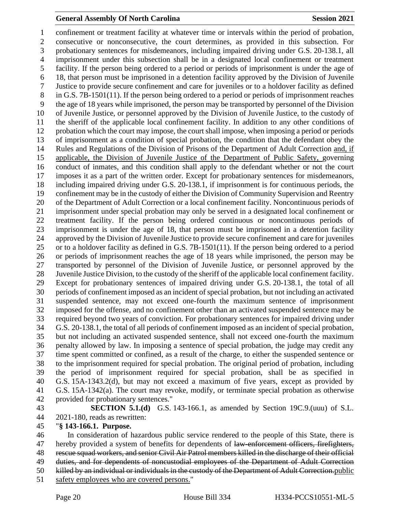confinement or treatment facility at whatever time or intervals within the period of probation, consecutive or nonconsecutive, the court determines, as provided in this subsection. For probationary sentences for misdemeanors, including impaired driving under G.S. 20-138.1, all imprisonment under this subsection shall be in a designated local confinement or treatment facility. If the person being ordered to a period or periods of imprisonment is under the age of 18, that person must be imprisoned in a detention facility approved by the Division of Juvenile Justice to provide secure confinement and care for juveniles or to a holdover facility as defined in G.S. 7B-1501(11). If the person being ordered to a period or periods of imprisonment reaches the age of 18 years while imprisoned, the person may be transported by personnel of the Division of Juvenile Justice, or personnel approved by the Division of Juvenile Justice, to the custody of the sheriff of the applicable local confinement facility. In addition to any other conditions of probation which the court may impose, the court shall impose, when imposing a period or periods of imprisonment as a condition of special probation, the condition that the defendant obey the 14 Rules and Regulations of the Division of Prisons of the Department of Adult Correction and, if applicable, the Division of Juvenile Justice of the Department of Public Safety, governing conduct of inmates, and this condition shall apply to the defendant whether or not the court imposes it as a part of the written order. Except for probationary sentences for misdemeanors, including impaired driving under G.S. 20-138.1, if imprisonment is for continuous periods, the confinement may be in the custody of either the Division of Community Supervision and Reentry of the Department of Adult Correction or a local confinement facility. Noncontinuous periods of imprisonment under special probation may only be served in a designated local confinement or treatment facility. If the person being ordered continuous or noncontinuous periods of imprisonment is under the age of 18, that person must be imprisoned in a detention facility approved by the Division of Juvenile Justice to provide secure confinement and care for juveniles or to a holdover facility as defined in G.S. 7B-1501(11). If the person being ordered to a period or periods of imprisonment reaches the age of 18 years while imprisoned, the person may be transported by personnel of the Division of Juvenile Justice, or personnel approved by the Juvenile Justice Division, to the custody of the sheriff of the applicable local confinement facility. Except for probationary sentences of impaired driving under G.S. 20-138.1, the total of all periods of confinement imposed as an incident of special probation, but not including an activated suspended sentence, may not exceed one-fourth the maximum sentence of imprisonment imposed for the offense, and no confinement other than an activated suspended sentence may be required beyond two years of conviction. For probationary sentences for impaired driving under G.S. 20-138.1, the total of all periods of confinement imposed as an incident of special probation, but not including an activated suspended sentence, shall not exceed one-fourth the maximum penalty allowed by law. In imposing a sentence of special probation, the judge may credit any time spent committed or confined, as a result of the charge, to either the suspended sentence or to the imprisonment required for special probation. The original period of probation, including the period of imprisonment required for special probation, shall be as specified in G.S. 15A-1343.2(d), but may not exceed a maximum of five years, except as provided by G.S. 15A-1342(a). The court may revoke, modify, or terminate special probation as otherwise provided for probationary sentences."

 **SECTION 5.1.(d)** G.S. 143-166.1, as amended by Section 19C.9.(uuu) of S.L. 2021-180, reads as rewritten:

#### "**§ 143-166.1. Purpose.**

 In consideration of hazardous public service rendered to the people of this State, there is 47 hereby provided a system of benefits for dependents of law-enforcement officers, firefighters, rescue squad workers, and senior Civil Air Patrol members killed in the discharge of their official 49 duties, and for dependents of noncustodial employees of the Department of Adult Correction killed by an individual or individuals in the custody of the Department of Adult Correction.public safety employees who are covered persons."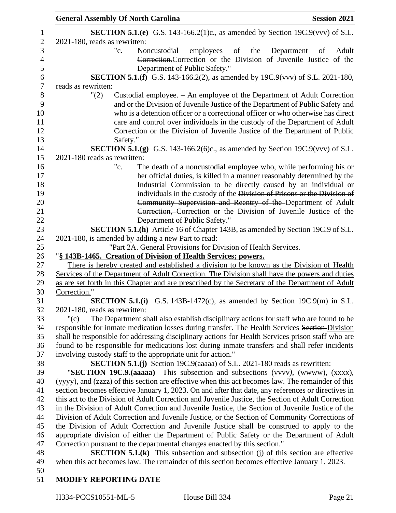| <b>General Assembly Of North Carolina</b>                                                          | <b>Session 2021</b> |
|----------------------------------------------------------------------------------------------------|---------------------|
| <b>SECTION 5.1.(e)</b> G.S. 143-166.2(1)c., as amended by Section 19C.9(vvv) of S.L.               |                     |
| 2021-180, reads as rewritten:                                                                      |                     |
| "c.<br>employees<br>of the<br>Noncustodial<br>Department                                           | Adult<br>of         |
| Correction. Correction or the Division of Juvenile Justice of the                                  |                     |
| Department of Public Safety."                                                                      |                     |
| <b>SECTION 5.1.(f)</b> G.S. 143-166.2(2), as amended by 19C.9(vvv) of S.L. 2021-180,               |                     |
| reads as rewritten:                                                                                |                     |
| Custodial employee. – An employee of the Department of Adult Correction<br>"(2)                    |                     |
| and or the Division of Juvenile Justice of the Department of Public Safety and                     |                     |
| who is a detention officer or a correctional officer or who otherwise has direct                   |                     |
| care and control over individuals in the custody of the Department of Adult                        |                     |
| Correction or the Division of Juvenile Justice of the Department of Public                         |                     |
| Safety."                                                                                           |                     |
| <b>SECTION 5.1.(g)</b> G.S. 143-166.2(6)c., as amended by Section 19C.9(vvv) of S.L.               |                     |
| 2021-180 reads as rewritten:                                                                       |                     |
| "c.<br>The death of a noncustodial employee who, while performing his or                           |                     |
| her official duties, is killed in a manner reasonably determined by the                            |                     |
| Industrial Commission to be directly caused by an individual or                                    |                     |
| individuals in the custody of the Division of Prisons or the Division of                           |                     |
| Community Supervision and Reentry of the Department of Adult                                       |                     |
| Correction, Correction or the Division of Juvenile Justice of the                                  |                     |
| Department of Public Safety."                                                                      |                     |
| <b>SECTION 5.1.(h)</b> Article 16 of Chapter 143B, as amended by Section 19C.9 of S.L.             |                     |
| 2021-180, is amended by adding a new Part to read:                                                 |                     |
| "Part 2A. General Provisions for Division of Health Services.                                      |                     |
| "§ 143B-1465. Creation of Division of Health Services; powers.                                     |                     |
| There is hereby created and established a division to be known as the Division of Health           |                     |
| Services of the Department of Adult Correction. The Division shall have the powers and duties      |                     |
| as are set forth in this Chapter and are prescribed by the Secretary of the Department of Adult    |                     |
| Correction."                                                                                       |                     |
| <b>SECTION 5.1.(i)</b> G.S. 143B-1472(c), as amended by Section 19C.9(m) in S.L.                   |                     |
| 2021-180, reads as rewritten:                                                                      |                     |
| The Department shall also establish disciplinary actions for staff who are found to be<br>" $(c)$  |                     |
| responsible for inmate medication losses during transfer. The Health Services Section-Division     |                     |
| shall be responsible for addressing disciplinary actions for Health Services prison staff who are  |                     |
| found to be responsible for medications lost during inmate transfers and shall refer incidents     |                     |
| involving custody staff to the appropriate unit for action."                                       |                     |
| SECTION 5.1.(j) Section 19C.9(aaaaa) of S.L. 2021-180 reads as rewritten:                          |                     |
| "SECTION 19C.9.(aaaaa) This subsection and subsections $(www)$ , $(www)$ , $(xxxx)$ ,              |                     |
| (yyyy), and (zzzz) of this section are effective when this act becomes law. The remainder of this  |                     |
| section becomes effective January 1, 2023. On and after that date, any references or directives in |                     |
| this act to the Division of Adult Correction and Juvenile Justice, the Section of Adult Correction |                     |
| in the Division of Adult Correction and Juvenile Justice, the Section of Juvenile Justice of the   |                     |
| Division of Adult Correction and Juvenile Justice, or the Section of Community Corrections of      |                     |
| the Division of Adult Correction and Juvenile Justice shall be construed to apply to the           |                     |
| appropriate division of either the Department of Public Safety or the Department of Adult          |                     |
| Correction pursuant to the departmental changes enacted by this section."                          |                     |
| <b>SECTION 5.1.(k)</b> This subsection and subsection (j) of this section are effective            |                     |
| when this act becomes law. The remainder of this section becomes effective January 1, 2023.        |                     |
|                                                                                                    |                     |
| <b>MODIFY REPORTING DATE</b>                                                                       |                     |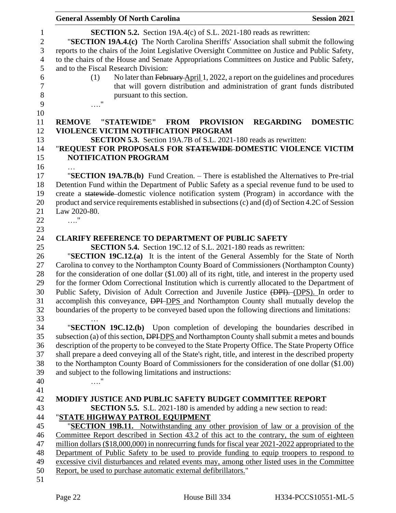|                     | <b>General Assembly Of North Carolina</b><br><b>Session 2021</b>                                                                                                                                        |  |  |
|---------------------|---------------------------------------------------------------------------------------------------------------------------------------------------------------------------------------------------------|--|--|
| 1                   | <b>SECTION 5.2.</b> Section 19A.4(c) of S.L. 2021-180 reads as rewritten:                                                                                                                               |  |  |
| $\boldsymbol{2}$    | "SECTION 19A.4.(c) The North Carolina Sheriffs' Association shall submit the following                                                                                                                  |  |  |
| 3                   | reports to the chairs of the Joint Legislative Oversight Committee on Justice and Public Safety,                                                                                                        |  |  |
| $\overline{4}$<br>5 | to the chairs of the House and Senate Appropriations Committees on Justice and Public Safety,<br>and to the Fiscal Research Division:                                                                   |  |  |
| 6                   | No later than February April 1, 2022, a report on the guidelines and procedures<br>(1)                                                                                                                  |  |  |
| $\tau$              | that will govern distribution and administration of grant funds distributed                                                                                                                             |  |  |
| $8\,$               | pursuant to this section.                                                                                                                                                                               |  |  |
| 9                   | 11                                                                                                                                                                                                      |  |  |
| 10                  |                                                                                                                                                                                                         |  |  |
| 11                  | "STATEWIDE"<br><b>FROM</b><br><b>REMOVE</b><br><b>PROVISION</b><br><b>REGARDING</b><br><b>DOMESTIC</b>                                                                                                  |  |  |
| 12                  | <b>VIOLENCE VICTIM NOTIFICATION PROGRAM</b>                                                                                                                                                             |  |  |
| 13                  | <b>SECTION 5.3.</b> Section 19A.7B of S.L. 2021-180 reads as rewritten:                                                                                                                                 |  |  |
| 14<br>15            | "REQUEST FOR PROPOSALS FOR STATEWIDE DOMESTIC VIOLENCE VICTIM<br><b>NOTIFICATION PROGRAM</b>                                                                                                            |  |  |
| 16                  |                                                                                                                                                                                                         |  |  |
| 17                  | "SECTION 19A.7B.(b) Fund Creation. – There is established the Alternatives to Pre-trial                                                                                                                 |  |  |
| 18                  | Detention Fund within the Department of Public Safety as a special revenue fund to be used to                                                                                                           |  |  |
| 19                  | create a statewide-domestic violence notification system (Program) in accordance with the                                                                                                               |  |  |
| $20\,$              | product and service requirements established in subsections (c) and (d) of Section 4.2C of Session                                                                                                      |  |  |
| 21                  | Law 2020-80.                                                                                                                                                                                            |  |  |
| 22                  | $\ldots$ "                                                                                                                                                                                              |  |  |
| 23                  |                                                                                                                                                                                                         |  |  |
| 24                  | <b>CLARIFY REFERENCE TO DEPARTMENT OF PUBLIC SAFETY</b>                                                                                                                                                 |  |  |
| 25                  | <b>SECTION 5.4.</b> Section 19C.12 of S.L. 2021-180 reads as rewritten:                                                                                                                                 |  |  |
| 26                  | "SECTION 19C.12.(a) It is the intent of the General Assembly for the State of North                                                                                                                     |  |  |
| 27                  | Carolina to convey to the Northampton County Board of Commissioners (Northampton County)                                                                                                                |  |  |
| 28                  | for the consideration of one dollar (\$1.00) all of its right, title, and interest in the property used                                                                                                 |  |  |
| 29                  | for the former Odom Correctional Institution which is currently allocated to the Department of                                                                                                          |  |  |
| 30                  | Public Safety, Division of Adult Correction and Juvenile Justice (DPI). (DPS). In order to                                                                                                              |  |  |
| 31                  | accomplish this conveyance, <b>DPI-DPS</b> and Northampton County shall mutually develop the                                                                                                            |  |  |
| 32                  | boundaries of the property to be conveyed based upon the following directions and limitations:                                                                                                          |  |  |
| 33                  |                                                                                                                                                                                                         |  |  |
| 34                  | "SECTION 19C.12.(b) Upon completion of developing the boundaries described in                                                                                                                           |  |  |
| 35<br>36            | subsection (a) of this section, DPI DPS and Northampton County shall submit a metes and bounds                                                                                                          |  |  |
| 37                  | description of the property to be conveyed to the State Property Office. The State Property Office                                                                                                      |  |  |
| 38                  | shall prepare a deed conveying all of the State's right, title, and interest in the described property<br>to the Northampton County Board of Commissioners for the consideration of one dollar (\$1.00) |  |  |
| 39                  | and subject to the following limitations and instructions:                                                                                                                                              |  |  |
| 40                  | $\ldots$ "                                                                                                                                                                                              |  |  |
| 41                  |                                                                                                                                                                                                         |  |  |
| 42                  | <b>MODIFY JUSTICE AND PUBLIC SAFETY BUDGET COMMITTEE REPORT</b>                                                                                                                                         |  |  |
| 43                  | <b>SECTION 5.5.</b> S.L. 2021-180 is amended by adding a new section to read:                                                                                                                           |  |  |
| 44                  | "STATE HIGHWAY PATROL EQUIPMENT                                                                                                                                                                         |  |  |
| 45                  | "SECTION 19B.11. Notwithstanding any other provision of law or a provision of the                                                                                                                       |  |  |
| 46                  | Committee Report described in Section 43.2 of this act to the contrary, the sum of eighteen                                                                                                             |  |  |
| 47                  | million dollars (\$18,000,000) in nonrecurring funds for fiscal year 2021-2022 appropriated to the                                                                                                      |  |  |
| 48                  | Department of Public Safety to be used to provide funding to equip troopers to respond to                                                                                                               |  |  |
| 49                  | excessive civil disturbances and related events may, among other listed uses in the Committee                                                                                                           |  |  |
| 50                  | Report, be used to purchase automatic external defibrillators."                                                                                                                                         |  |  |
| 51                  |                                                                                                                                                                                                         |  |  |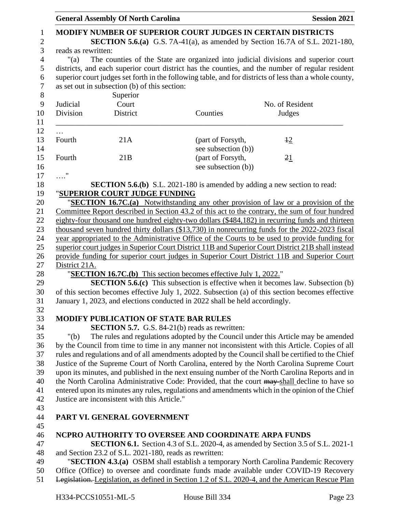|                     | <b>General Assembly Of North Carolina</b>              |                                                                                  | <b>Session 2021</b>                                                                                                                                                                    |
|---------------------|--------------------------------------------------------|----------------------------------------------------------------------------------|----------------------------------------------------------------------------------------------------------------------------------------------------------------------------------------|
|                     |                                                        | <b>MODIFY NUMBER OF SUPERIOR COURT JUDGES IN CERTAIN DISTRICTS</b>               |                                                                                                                                                                                        |
|                     |                                                        |                                                                                  | <b>SECTION 5.6.(a)</b> G.S. 7A-41(a), as amended by Section 16.7A of S.L. 2021-180,                                                                                                    |
| reads as rewritten: |                                                        |                                                                                  |                                                                                                                                                                                        |
| $"$ (a)             |                                                        |                                                                                  | The counties of the State are organized into judicial divisions and superior court<br>districts, and each superior court district has the counties, and the number of regular resident |
|                     |                                                        |                                                                                  | superior court judges set forth in the following table, and for districts of less than a whole county,                                                                                 |
|                     | as set out in subsection (b) of this section:          |                                                                                  |                                                                                                                                                                                        |
|                     | Superior                                               |                                                                                  |                                                                                                                                                                                        |
| Judicial            | Court                                                  |                                                                                  | No. of Resident                                                                                                                                                                        |
| Division            | District                                               | Counties                                                                         | Judges                                                                                                                                                                                 |
|                     |                                                        |                                                                                  |                                                                                                                                                                                        |
| $\cdots$            |                                                        |                                                                                  |                                                                                                                                                                                        |
| Fourth              | 21A                                                    | (part of Forsyth,                                                                | $+2$                                                                                                                                                                                   |
| Fourth              | 21B                                                    | see subsection (b))<br>(part of Forsyth,                                         |                                                                                                                                                                                        |
|                     |                                                        | see subsection (b))                                                              | 21                                                                                                                                                                                     |
| $\ldots$ "          |                                                        |                                                                                  |                                                                                                                                                                                        |
|                     |                                                        | <b>SECTION 5.6.(b)</b> S.L. 2021-180 is amended by adding a new section to read: |                                                                                                                                                                                        |
|                     | "SUPERIOR COURT JUDGE FUNDING                          |                                                                                  |                                                                                                                                                                                        |
|                     |                                                        |                                                                                  | "SECTION 16.7C.(a) Notwithstanding any other provision of law or a provision of the                                                                                                    |
|                     |                                                        |                                                                                  | Committee Report described in Section 43.2 of this act to the contrary, the sum of four hundred                                                                                        |
|                     |                                                        |                                                                                  | eighty-four thousand one hundred eighty-two dollars (\$484,182) in recurring funds and thirteen                                                                                        |
|                     |                                                        |                                                                                  | thousand seven hundred thirty dollars (\$13,730) in nonrecurring funds for the 2022-2023 fiscal                                                                                        |
|                     |                                                        |                                                                                  | year appropriated to the Administrative Office of the Courts to be used to provide funding for                                                                                         |
|                     |                                                        |                                                                                  | superior court judges in Superior Court District 11B and Superior Court District 21B shall instead                                                                                     |
|                     |                                                        |                                                                                  | provide funding for superior court judges in Superior Court District 11B and Superior Court                                                                                            |
| District 21A.       |                                                        |                                                                                  |                                                                                                                                                                                        |
|                     |                                                        | " <b>SECTION 16.7C.(b)</b> This section becomes effective July 1, 2022."         |                                                                                                                                                                                        |
|                     |                                                        |                                                                                  | <b>SECTION 5.6.(c)</b> This subsection is effective when it becomes law. Subsection (b)                                                                                                |
|                     |                                                        |                                                                                  | of this section becomes effective July 1, 2022. Subsection (a) of this section becomes effective                                                                                       |
|                     |                                                        | January 1, 2023, and elections conducted in 2022 shall be held accordingly.      |                                                                                                                                                                                        |
|                     |                                                        |                                                                                  |                                                                                                                                                                                        |
|                     | <b>MODIFY PUBLICATION OF STATE BAR RULES</b>           |                                                                                  |                                                                                                                                                                                        |
|                     |                                                        | <b>SECTION 5.7.</b> G.S. 84-21(b) reads as rewritten:                            |                                                                                                                                                                                        |
| " $(b)$             |                                                        |                                                                                  | The rules and regulations adopted by the Council under this Article may be amended                                                                                                     |
|                     |                                                        |                                                                                  | by the Council from time to time in any manner not inconsistent with this Article. Copies of all                                                                                       |
|                     |                                                        |                                                                                  | rules and regulations and of all amendments adopted by the Council shall be certified to the Chief                                                                                     |
|                     |                                                        |                                                                                  | Justice of the Supreme Court of North Carolina, entered by the North Carolina Supreme Court                                                                                            |
|                     |                                                        |                                                                                  | upon its minutes, and published in the next ensuing number of the North Carolina Reports and in                                                                                        |
|                     |                                                        |                                                                                  | the North Carolina Administrative Code: Provided, that the court may shall decline to have so                                                                                          |
|                     |                                                        |                                                                                  | entered upon its minutes any rules, regulations and amendments which in the opinion of the Chief                                                                                       |
|                     | Justice are inconsistent with this Article."           |                                                                                  |                                                                                                                                                                                        |
|                     |                                                        |                                                                                  |                                                                                                                                                                                        |
|                     | PART VI. GENERAL GOVERNMENT                            |                                                                                  |                                                                                                                                                                                        |
|                     |                                                        |                                                                                  |                                                                                                                                                                                        |
|                     |                                                        | NCPRO AUTHORITY TO OVERSEE AND COORDINATE ARPA FUNDS                             |                                                                                                                                                                                        |
|                     |                                                        |                                                                                  | <b>SECTION 6.1.</b> Section 4.3 of S.L. 2020-4, as amended by Section 3.5 of S.L. 2021-1                                                                                               |
|                     | and Section 23.2 of S.L. 2021-180, reads as rewritten: |                                                                                  |                                                                                                                                                                                        |
|                     |                                                        |                                                                                  | "SECTION 4.3.(a) OSBM shall establish a temporary North Carolina Pandemic Recovery                                                                                                     |
|                     |                                                        |                                                                                  | Office (Office) to oversee and coordinate funds made available under COVID-19 Recovery                                                                                                 |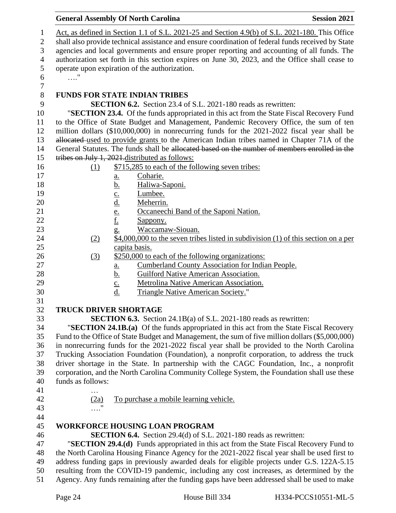|                   | <b>General Assembly Of North Carolina</b>                                                                                                                                                 | <b>Session 2021</b> |
|-------------------|-------------------------------------------------------------------------------------------------------------------------------------------------------------------------------------------|---------------------|
|                   | Act, as defined in Section 1.1 of S.L. 2021-25 and Section 4.9(b) of S.L. 2021-180. This Office                                                                                           |                     |
|                   | shall also provide technical assistance and ensure coordination of federal funds received by State                                                                                        |                     |
|                   | agencies and local governments and ensure proper reporting and accounting of all funds. The                                                                                               |                     |
|                   | authorization set forth in this section expires on June 30, 2023, and the Office shall cease to                                                                                           |                     |
|                   | operate upon expiration of the authorization.                                                                                                                                             |                     |
| $\ldots$ "        |                                                                                                                                                                                           |                     |
|                   |                                                                                                                                                                                           |                     |
|                   | <b>FUNDS FOR STATE INDIAN TRIBES</b>                                                                                                                                                      |                     |
|                   | <b>SECTION 6.2.</b> Section 23.4 of S.L. 2021-180 reads as rewritten:                                                                                                                     |                     |
|                   | "SECTION 23.4. Of the funds appropriated in this act from the State Fiscal Recovery Fund                                                                                                  |                     |
|                   | to the Office of State Budget and Management, Pandemic Recovery Office, the sum of ten                                                                                                    |                     |
|                   | million dollars (\$10,000,000) in nonrecurring funds for the 2021-2022 fiscal year shall be                                                                                               |                     |
|                   | allocated used to provide grants to the American Indian tribes named in Chapter 71A of the                                                                                                |                     |
|                   | General Statutes. The funds shall be allocated based on the number of members enrolled in the                                                                                             |                     |
|                   | tribes on July 1, 2021 distributed as follows:                                                                                                                                            |                     |
| (1)               | \$715,285 to each of the following seven tribes:                                                                                                                                          |                     |
|                   | Coharie.<br><u>a.</u>                                                                                                                                                                     |                     |
|                   | Haliwa-Saponi.                                                                                                                                                                            |                     |
|                   | Lumbee.                                                                                                                                                                                   |                     |
|                   | Meherrin.                                                                                                                                                                                 |                     |
|                   | <u>b.</u><br>c.<br><u>d.</u><br><u>e.</u><br>Occaneechi Band of the Saponi Nation.                                                                                                        |                     |
|                   | Sappony.                                                                                                                                                                                  |                     |
|                   | Waccamaw-Siouan.<br>$g_{\cdot}$                                                                                                                                                           |                     |
| (2)               | $$4,000,000$ to the seven tribes listed in subdivision (1) of this section on a per                                                                                                       |                     |
|                   | capita basis.                                                                                                                                                                             |                     |
| (3)               | \$250,000 to each of the following organizations:                                                                                                                                         |                     |
|                   | <b>Cumberland County Association for Indian People.</b><br>$\underline{\mathbf{a}}$ .                                                                                                     |                     |
|                   | <b>Guilford Native American Association.</b><br><u>b.</u>                                                                                                                                 |                     |
|                   | Metrolina Native American Association.<br>$\underline{c}$ .                                                                                                                               |                     |
|                   | d.<br><b>Triangle Native American Society."</b>                                                                                                                                           |                     |
|                   |                                                                                                                                                                                           |                     |
|                   | <b>TRUCK DRIVER SHORTAGE</b>                                                                                                                                                              |                     |
|                   | <b>SECTION 6.3.</b> Section 24.1B(a) of S.L. 2021-180 reads as rewritten:                                                                                                                 |                     |
|                   | "SECTION 24.1B.(a) Of the funds appropriated in this act from the State Fiscal Recovery                                                                                                   |                     |
|                   | Fund to the Office of State Budget and Management, the sum of five million dollars (\$5,000,000)                                                                                          |                     |
|                   | in nonrecurring funds for the 2021-2022 fiscal year shall be provided to the North Carolina                                                                                               |                     |
|                   | Trucking Association Foundation (Foundation), a nonprofit corporation, to address the truck                                                                                               |                     |
|                   | driver shortage in the State. In partnership with the CAGC Foundation, Inc., a nonprofit                                                                                                  |                     |
|                   | corporation, and the North Carolina Community College System, the Foundation shall use these                                                                                              |                     |
| funds as follows: |                                                                                                                                                                                           |                     |
| .                 |                                                                                                                                                                                           |                     |
| (2a)              | To purchase a mobile learning vehicle.                                                                                                                                                    |                     |
|                   |                                                                                                                                                                                           |                     |
|                   | <b>WORKFORCE HOUSING LOAN PROGRAM</b>                                                                                                                                                     |                     |
|                   | <b>SECTION 6.4.</b> Section 29.4(d) of S.L. 2021-180 reads as rewritten:                                                                                                                  |                     |
|                   |                                                                                                                                                                                           |                     |
|                   | "SECTION 29.4.(d) Funds appropriated in this act from the State Fiscal Recovery Fund to<br>the North Carolina Housing Finance Agency for the 2021-2022 fiscal year shall be used first to |                     |
|                   | address funding gaps in previously awarded deals for eligible projects under G.S. 122A-5.15                                                                                               |                     |
|                   | resulting from the COVID-19 pandemic, including any cost increases, as determined by the                                                                                                  |                     |
|                   | Agency. Any funds remaining after the funding gaps have been addressed shall be used to make                                                                                              |                     |
|                   |                                                                                                                                                                                           |                     |
|                   |                                                                                                                                                                                           |                     |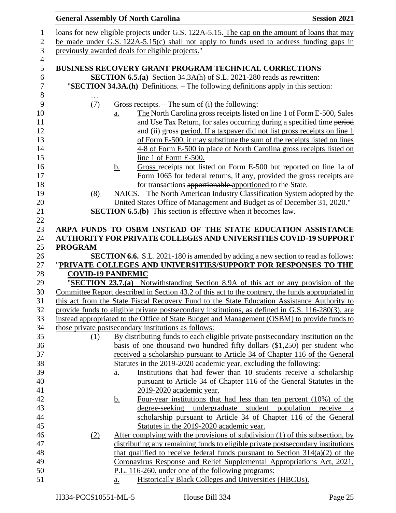|                          |                   | <b>General Assembly Of North Carolina</b>                                                                                                                        | <b>Session 2021</b>                                                                                                                                 |
|--------------------------|-------------------|------------------------------------------------------------------------------------------------------------------------------------------------------------------|-----------------------------------------------------------------------------------------------------------------------------------------------------|
|                          |                   | loans for new eligible projects under G.S. 122A-5.15. The cap on the amount of loans that may                                                                    |                                                                                                                                                     |
|                          |                   | be made under G.S. 122A-5.15(c) shall not apply to funds used to address funding gaps in                                                                         |                                                                                                                                                     |
|                          |                   | previously awarded deals for eligible projects."                                                                                                                 |                                                                                                                                                     |
|                          |                   |                                                                                                                                                                  |                                                                                                                                                     |
|                          |                   | <b>BUSINESS RECOVERY GRANT PROGRAM TECHNICAL CORRECTIONS</b>                                                                                                     |                                                                                                                                                     |
|                          |                   | <b>SECTION 6.5.(a)</b> Section 34.3A(h) of S.L. 2021-280 reads as rewritten:                                                                                     |                                                                                                                                                     |
|                          |                   | "SECTION 34.3A.(h) Definitions. – The following definitions apply in this section:                                                                               |                                                                                                                                                     |
|                          |                   |                                                                                                                                                                  |                                                                                                                                                     |
| (7)                      |                   | Gross receipts. – The sum of $(i)$ -the following:                                                                                                               |                                                                                                                                                     |
|                          | a.                |                                                                                                                                                                  | The North Carolina gross receipts listed on line 1 of Form E-500, Sales                                                                             |
|                          |                   |                                                                                                                                                                  | and Use Tax Return, for sales occurring during a specified time period                                                                              |
|                          |                   |                                                                                                                                                                  | and (ii) gross-period. If a taxpayer did not list gross receipts on line 1                                                                          |
|                          |                   |                                                                                                                                                                  | of Form E-500, it may substitute the sum of the receipts listed on lines                                                                            |
|                          |                   | line 1 of Form E-500.                                                                                                                                            | 4-8 of Form E-500 in place of North Carolina gross receipts listed on                                                                               |
|                          | <u>b.</u>         |                                                                                                                                                                  | Gross receipts not listed on Form E-500 but reported on line 1a of                                                                                  |
|                          |                   |                                                                                                                                                                  | Form 1065 for federal returns, if any, provided the gross receipts are                                                                              |
|                          |                   | for transactions apportionable apportioned to the State.                                                                                                         |                                                                                                                                                     |
| (8)                      |                   | NAICS. - The North American Industry Classification System adopted by the                                                                                        |                                                                                                                                                     |
|                          |                   | United States Office of Management and Budget as of December 31, 2020."                                                                                          |                                                                                                                                                     |
|                          |                   | <b>SECTION 6.5.(b)</b> This section is effective when it becomes law.                                                                                            |                                                                                                                                                     |
|                          |                   |                                                                                                                                                                  |                                                                                                                                                     |
|                          |                   | ARPA FUNDS TO OSBM INSTEAD OF THE STATE EDUCATION ASSISTANCE                                                                                                     |                                                                                                                                                     |
|                          |                   | <b>AUTHORITY FOR PRIVATE COLLEGES AND UNIVERSITIES COVID-19 SUPPORT</b>                                                                                          |                                                                                                                                                     |
| <b>PROGRAM</b>           |                   |                                                                                                                                                                  |                                                                                                                                                     |
|                          |                   | <b>SECTION 6.6.</b> S.L. 2021-180 is amended by adding a new section to read as follows:                                                                         |                                                                                                                                                     |
|                          |                   | "PRIVATE COLLEGES AND UNIVERSITIES/SUPPORT FOR RESPONSES TO THE                                                                                                  |                                                                                                                                                     |
| <b>COVID-19 PANDEMIC</b> |                   |                                                                                                                                                                  |                                                                                                                                                     |
|                          |                   | "SECTION 23.7.(a) Notwithstanding Section 8.9A of this act or any provision of the                                                                               |                                                                                                                                                     |
|                          |                   | Committee Report described in Section 43.2 of this act to the contrary, the funds appropriated in                                                                |                                                                                                                                                     |
|                          |                   | this act from the State Fiscal Recovery Fund to the State Education Assistance Authority to                                                                      |                                                                                                                                                     |
|                          |                   | provide funds to eligible private postsecondary institutions, as defined in G.S. 116-280(3), are                                                                 |                                                                                                                                                     |
|                          |                   | instead appropriated to the Office of State Budget and Management (OSBM) to provide funds to                                                                     |                                                                                                                                                     |
|                          |                   | those private postsecondary institutions as follows:<br>By distributing funds to each eligible private postsecondary institution on the                          |                                                                                                                                                     |
| (1)                      |                   | basis of one thousand two hundred fifty dollars $(\$1,250)$ per student who                                                                                      |                                                                                                                                                     |
|                          |                   | received a scholarship pursuant to Article 34 of Chapter 116 of the General                                                                                      |                                                                                                                                                     |
|                          |                   | Statutes in the 2019-2020 academic year, excluding the following:                                                                                                |                                                                                                                                                     |
|                          | $\underline{a}$ . |                                                                                                                                                                  | Institutions that had fewer than 10 students receive a scholarship                                                                                  |
|                          |                   |                                                                                                                                                                  | pursuant to Article 34 of Chapter 116 of the General Statutes in the                                                                                |
|                          |                   |                                                                                                                                                                  |                                                                                                                                                     |
|                          |                   |                                                                                                                                                                  |                                                                                                                                                     |
|                          |                   | 2019-2020 academic year.                                                                                                                                         |                                                                                                                                                     |
|                          | <u>b.</u>         |                                                                                                                                                                  |                                                                                                                                                     |
|                          |                   | degree-seeking undergraduate student                                                                                                                             | population                                                                                                                                          |
|                          |                   |                                                                                                                                                                  |                                                                                                                                                     |
|                          |                   | Statutes in the 2019-2020 academic year.                                                                                                                         |                                                                                                                                                     |
| (2)                      |                   | After complying with the provisions of subdivision (1) of this subsection, by<br>distributing any remaining funds to eligible private postsecondary institutions |                                                                                                                                                     |
|                          |                   | that qualified to receive federal funds pursuant to Section $314(a)(2)$ of the                                                                                   |                                                                                                                                                     |
|                          |                   | Coronavirus Response and Relief Supplemental Appropriations Act, 2021,                                                                                           |                                                                                                                                                     |
|                          |                   | P.L. 116-260, under one of the following programs:                                                                                                               | Four-year institutions that had less than ten percent (10%) of the<br>receive a<br>scholarship pursuant to Article 34 of Chapter 116 of the General |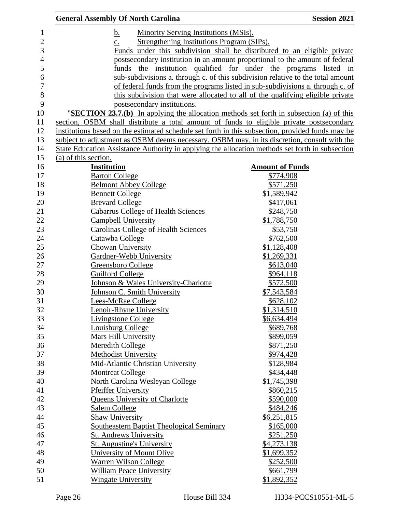| <b>General Assembly Of North Carolina</b>                                                        | <b>Session 2021</b>                                                             |
|--------------------------------------------------------------------------------------------------|---------------------------------------------------------------------------------|
| <b>Minority Serving Institutions (MSIs).</b><br>b.                                               |                                                                                 |
| Strengthening Institutions Program (SIPs).<br>$\underline{c}$ .                                  |                                                                                 |
|                                                                                                  | Funds under this subdivision shall be distributed to an eligible private        |
|                                                                                                  | postsecondary institution in an amount proportional to the amount of federal    |
|                                                                                                  | funds the institution qualified for under the programs listed in                |
|                                                                                                  | sub-subdivisions a. through c. of this subdivision relative to the total amount |
|                                                                                                  | of federal funds from the programs listed in sub-subdivisions a. through c. of  |
|                                                                                                  | this subdivision that were allocated to all of the qualifying eligible private  |
| postsecondary institutions.                                                                      |                                                                                 |
| "SECTION 23.7.(b) In applying the allocation methods set forth in subsection (a) of this         |                                                                                 |
| section, OSBM shall distribute a total amount of funds to eligible private postsecondary         |                                                                                 |
| institutions based on the estimated schedule set forth in this subsection, provided funds may be |                                                                                 |
| subject to adjustment as OSBM deems necessary. OSBM may, in its discretion, consult with the     |                                                                                 |
| State Education Assistance Authority in applying the allocation methods set forth in subsection  |                                                                                 |
| (a) of this section.                                                                             |                                                                                 |
| <b>Institution</b>                                                                               | <b>Amount of Funds</b>                                                          |
| <b>Barton College</b>                                                                            | \$774,908                                                                       |
| <b>Belmont Abbey College</b>                                                                     | \$571,250                                                                       |
| <b>Bennett College</b>                                                                           | \$1,589,942                                                                     |
| <b>Brevard College</b>                                                                           | \$417,061                                                                       |
| <b>Cabarrus College of Health Sciences</b>                                                       | \$248,750                                                                       |
| <b>Campbell University</b>                                                                       | \$1,788,750                                                                     |
| <b>Carolinas College of Health Sciences</b>                                                      |                                                                                 |
|                                                                                                  | \$53,750                                                                        |
| Catawba College                                                                                  | \$762,500                                                                       |
| <b>Chowan University</b>                                                                         | \$1,128,408                                                                     |
| Gardner-Webb University                                                                          | \$1,269,331                                                                     |
| Greensboro College                                                                               | \$613,040                                                                       |
| <b>Guilford College</b>                                                                          | \$964,118                                                                       |
| Johnson & Wales University-Charlotte                                                             | \$572,500                                                                       |
| Johnson C. Smith University                                                                      | \$7,543,584                                                                     |
| <b>Lees-McRae College</b>                                                                        | \$628,102                                                                       |
| Lenoir-Rhyne University                                                                          | \$1,314,510                                                                     |
| Livingstone College                                                                              | \$6,634,494                                                                     |
| <b>Louisburg College</b>                                                                         | \$689,768                                                                       |
| <b>Mars Hill University</b>                                                                      | \$899,059                                                                       |
| Meredith College                                                                                 | \$871,250                                                                       |
| <b>Methodist University</b>                                                                      | \$974,428                                                                       |
| Mid-Atlantic Christian University                                                                | \$128,984                                                                       |
| <b>Montreat College</b>                                                                          | \$434,448                                                                       |
| North Carolina Wesleyan College                                                                  | \$1,745,398                                                                     |
| <b>Pfeiffer University</b>                                                                       | \$860,215                                                                       |
| <b>Queens University of Charlotte</b>                                                            | \$590,000                                                                       |
| Salem College                                                                                    | \$484,246                                                                       |
| <b>Shaw University</b>                                                                           | \$6,251,815                                                                     |
| Southeastern Baptist Theological Seminary                                                        | \$165,000                                                                       |
| <b>St. Andrews University</b>                                                                    | \$251,250                                                                       |
| <b>St. Augustine's University</b>                                                                | \$4,273,138                                                                     |
| University of Mount Olive                                                                        | \$1,699,352                                                                     |
| Warren Wilson College                                                                            | \$252,500                                                                       |
| William Peace University                                                                         | \$661,799                                                                       |
| <b>Wingate University</b>                                                                        | \$1,892,352                                                                     |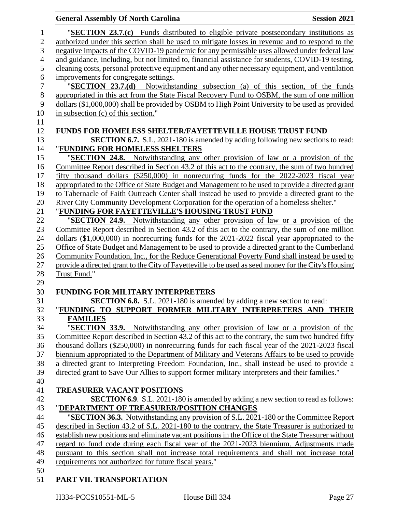| <b>General Assembly Of North Carolina</b>                                                                                                                                              | <b>Session 2021</b> |
|----------------------------------------------------------------------------------------------------------------------------------------------------------------------------------------|---------------------|
| "SECTION 23.7.(c) Funds distributed to eligible private postsecondary institutions as                                                                                                  |                     |
| authorized under this section shall be used to mitigate losses in revenue and to respond to the                                                                                        |                     |
| negative impacts of the COVID-19 pandemic for any permissible uses allowed under federal law                                                                                           |                     |
| and guidance, including, but not limited to, financial assistance for students, COVID-19 testing,                                                                                      |                     |
| cleaning costs, personal protective equipment and any other necessary equipment, and ventilation                                                                                       |                     |
| improvements for congregate settings.                                                                                                                                                  |                     |
| "SECTION 23.7.(d) Notwithstanding subsection (a) of this section, of the funds                                                                                                         |                     |
| appropriated in this act from the State Fiscal Recovery Fund to OSBM, the sum of one million                                                                                           |                     |
| dollars (\$1,000,000) shall be provided by OSBM to High Point University to be used as provided                                                                                        |                     |
| in subsection (c) of this section."                                                                                                                                                    |                     |
|                                                                                                                                                                                        |                     |
| <b>FUNDS FOR HOMELESS SHELTER/FAYETTEVILLE HOUSE TRUST FUND</b>                                                                                                                        |                     |
| <b>SECTION 6.7.</b> S.L. 2021-180 is amended by adding following new sections to read:                                                                                                 |                     |
| "FUNDING FOR HOMELESS SHELTERS                                                                                                                                                         |                     |
| "SECTION 24.8. Notwithstanding any other provision of law or a provision of the                                                                                                        |                     |
| Committee Report described in Section 43.2 of this act to the contrary, the sum of two hundred                                                                                         |                     |
| fifty thousand dollars $(\$250,000)$ in nonrecurring funds for the $2022-2023$ fiscal year                                                                                             |                     |
| appropriated to the Office of State Budget and Management to be used to provide a directed grant                                                                                       |                     |
| to Tabernacle of Faith Outreach Center shall instead be used to provide a directed grant to the                                                                                        |                     |
| River City Community Development Corporation for the operation of a homeless shelter."                                                                                                 |                     |
| "FUNDING FOR FAYETTEVILLE'S HOUSING TRUST FUND                                                                                                                                         |                     |
| "SECTION 24.9. Notwithstanding any other provision of law or a provision of the                                                                                                        |                     |
| Committee Report described in Section 43.2 of this act to the contrary, the sum of one million                                                                                         |                     |
| dollars $(\$1,000,000)$ in nonrecurring funds for the 2021-2022 fiscal year appropriated to the                                                                                        |                     |
| Office of State Budget and Management to be used to provide a directed grant to the Cumberland                                                                                         |                     |
| Community Foundation, Inc., for the Reduce Generational Poverty Fund shall instead be used to                                                                                          |                     |
| provide a directed grant to the City of Fayetteville to be used as seed money for the City's Housing                                                                                   |                     |
| Trust Fund."                                                                                                                                                                           |                     |
|                                                                                                                                                                                        |                     |
| <b>FUNDING FOR MILITARY INTERPRETERS</b>                                                                                                                                               |                     |
| <b>SECTION 6.8.</b> S.L. 2021-180 is amended by adding a new section to read:                                                                                                          |                     |
| "FUNDING TO SUPPORT FORMER MILITARY INTERPRETERS AND THEIR                                                                                                                             |                     |
| <b>FAMILIES</b>                                                                                                                                                                        |                     |
| "SECTION 33.9. Notwithstanding any other provision of law or a provision of the                                                                                                        |                     |
| Committee Report described in Section 43.2 of this act to the contrary, the sum two hundred fifty                                                                                      |                     |
| thousand dollars (\$250,000) in nonrecurring funds for each fiscal year of the 2021-2023 fiscal                                                                                        |                     |
| biennium appropriated to the Department of Military and Veterans Affairs to be used to provide                                                                                         |                     |
| a directed grant to Interpreting Freedom Foundation, Inc., shall instead be used to provide a                                                                                          |                     |
| directed grant to Save Our Allies to support former military interpreters and their families."                                                                                         |                     |
|                                                                                                                                                                                        |                     |
| <b>TREASURER VACANT POSITIONS</b>                                                                                                                                                      |                     |
| SECTION 6.9. S.L. 2021-180 is amended by adding a new section to read as follows:                                                                                                      |                     |
| "DEPARTMENT OF TREASURER/POSITION CHANGES                                                                                                                                              |                     |
| "SECTION 36.3. Notwithstanding any provision of S.L. 2021-180 or the Committee Report                                                                                                  |                     |
| described in Section 43.2 of S.L. 2021-180 to the contrary, the State Treasurer is authorized to                                                                                       |                     |
| establish new positions and eliminate vacant positions in the Office of the State Treasurer without                                                                                    |                     |
| regard to fund code during each fiscal year of the 2021-2023 biennium. Adjustments made<br>pursuant to this section shall not increase total requirements and shall not increase total |                     |
| requirements not authorized for future fiscal years."                                                                                                                                  |                     |
|                                                                                                                                                                                        |                     |
| <b>TD INTODADT LED</b>                                                                                                                                                                 |                     |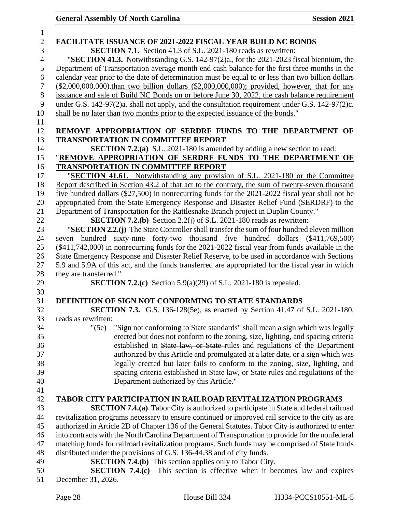| 1              |                                                                                                                                                                  |
|----------------|------------------------------------------------------------------------------------------------------------------------------------------------------------------|
| $\overline{2}$ | FACILITATE ISSUANCE OF 2021-2022 FISCAL YEAR BUILD NC BONDS                                                                                                      |
| 3              | <b>SECTION 7.1.</b> Section 41.3 of S.L. 2021-180 reads as rewritten:                                                                                            |
| $\overline{4}$ | "SECTION 41.3. Notwithstanding G.S. 142-97(2)a., for the 2021-2023 fiscal biennium, the                                                                          |
| 5              | Department of Transportation average month end cash balance for the first three months in the                                                                    |
| 6              | calendar year prior to the date of determination must be equal to or less than two billion dollars                                                               |
| 7              | $(*2,000,000,000)$ than two billion dollars $(*2,000,000,000)$ ; provided, however, that for any                                                                 |
| $8\,$          | issuance and sale of Build NC Bonds on or before June 30, 2022, the cash balance requirement                                                                     |
| 9              | under G.S. 142-97(2)a. shall not apply, and the consultation requirement under G.S. 142-97(2)c.                                                                  |
| 10             | shall be no later than two months prior to the expected issuance of the bonds."                                                                                  |
| 11             |                                                                                                                                                                  |
| 12             | REMOVE APPROPRIATION OF SERDRF FUNDS TO THE DEPARTMENT OF                                                                                                        |
| 13             | <b>TRANSPORTATION IN COMMITTEE REPORT</b>                                                                                                                        |
| 14             | <b>SECTION 7.2.(a)</b> S.L. 2021-180 is amended by adding a new section to read:                                                                                 |
| 15             | "REMOVE APPROPRIATION OF SERDRF FUNDS TO THE DEPARTMENT OF                                                                                                       |
| 16             | <b>TRANSPORTATION IN COMMITTEE REPORT</b>                                                                                                                        |
| 17             | "SECTION 41.61. Notwithstanding any provision of S.L. 2021-180 or the Committee                                                                                  |
| 18             | Report described in Section 43.2 of that act to the contrary, the sum of twenty-seven thousand                                                                   |
| 19             | five hundred dollars (\$27,500) in nonrecurring funds for the 2021-2022 fiscal year shall not be                                                                 |
| 20             | appropriated from the State Emergency Response and Disaster Relief Fund (SERDRF) to the                                                                          |
| 21             | Department of Transportation for the Rattlesnake Branch project in Duplin County."                                                                               |
| 22             | <b>SECTION 7.2.(b)</b> Section 2.2(j) of S.L. 2021-180 reads as rewritten:                                                                                       |
| 23             | "SECTION 2.2.(j) The State Controller shall transfer the sum of four hundred eleven million                                                                      |
| 24             | seven hundred sixty-nine-forty-two thousand five hundred dollars (\$411,769,500)                                                                                 |
| 25             | (\$411,742,000) in nonrecurring funds for the 2021-2022 fiscal year from funds available in the                                                                  |
| 26             | State Emergency Response and Disaster Relief Reserve, to be used in accordance with Sections                                                                     |
| 27             | 5.9 and 5.9A of this act, and the funds transferred are appropriated for the fiscal year in which                                                                |
| 28             | they are transferred."                                                                                                                                           |
| 29             | <b>SECTION 7.2.(c)</b> Section 5.9(a)(29) of S.L. 2021-180 is repealed.                                                                                          |
| 30             |                                                                                                                                                                  |
| 31             | <b>DEFINITION OF SIGN NOT CONFORMING TO STATE STANDARDS</b>                                                                                                      |
| 32             | <b>SECTION 7.3.</b> G.S. 136-128(5e), as enacted by Section 41.47 of S.L. 2021-180,                                                                              |
| 33             | reads as rewritten:                                                                                                                                              |
| 34             | "(5e)<br>"Sign not conforming to State standards" shall mean a sign which was legally                                                                            |
| 35             | erected but does not conform to the zoning, size, lighting, and spacing criteria                                                                                 |
| 36             | established in State law, or State-rules and regulations of the Department                                                                                       |
| 37<br>38       | authorized by this Article and promulgated at a later date, or a sign which was<br>legally erected but later fails to conform to the zoning, size, lighting, and |
| 39             |                                                                                                                                                                  |
| 40             | spacing criteria established in State law, or State rules and regulations of the<br>Department authorized by this Article."                                      |
| 41             |                                                                                                                                                                  |
| 42             | TABOR CITY PARTICIPATION IN RAILROAD REVITALIZATION PROGRAMS                                                                                                     |
| 43             | <b>SECTION 7.4.(a)</b> Tabor City is authorized to participate in State and federal railroad                                                                     |
| 44             | revitalization programs necessary to ensure continued or improved rail service to the city as are                                                                |
| 45             | authorized in Article 2D of Chapter 136 of the General Statutes. Tabor City is authorized to enter                                                               |
| 46             | into contracts with the North Carolina Department of Transportation to provide for the nonfederal                                                                |
| 47             | matching funds for railroad revitalization programs. Such funds may be comprised of State funds                                                                  |
| 48             | distributed under the provisions of G.S. 136-44.38 and of city funds.                                                                                            |
| 49             | <b>SECTION 7.4.(b)</b> This section applies only to Tabor City.                                                                                                  |
| 50             | <b>SECTION 7.4.(c)</b> This section is effective when it becomes law and expires                                                                                 |
| 51             | December 31, 2026.                                                                                                                                               |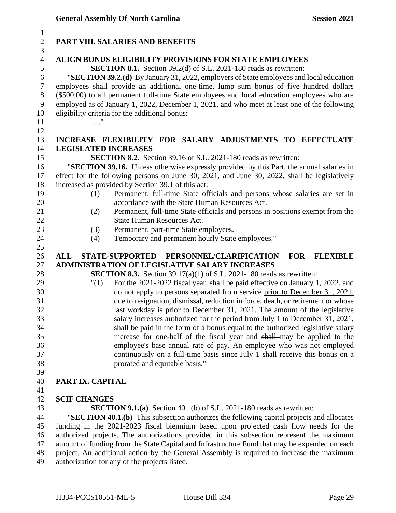| $\mathbf{1}$     |                                                                                                  |
|------------------|--------------------------------------------------------------------------------------------------|
| $\sqrt{2}$       | PART VIII. SALARIES AND BENEFITS                                                                 |
| 3                |                                                                                                  |
| $\overline{4}$   | <b>ALIGN BONUS ELIGIBILITY PROVISIONS FOR STATE EMPLOYEES</b>                                    |
| 5                | <b>SECTION 8.1.</b> Section 39.2(d) of S.L. 2021-180 reads as rewritten:                         |
| 6                | "SECTION 39.2.(d) By January 31, 2022, employers of State employees and local education          |
| $\boldsymbol{7}$ | employees shall provide an additional one-time, lump sum bonus of five hundred dollars           |
| $8\,$            | (\$500.00) to all permanent full-time State employees and local education employees who are      |
| $\boldsymbol{9}$ | employed as of January 1, 2022, December 1, 2021, and who meet at least one of the following     |
| 10               | eligibility criteria for the additional bonus:                                                   |
| 11               |                                                                                                  |
| 12               |                                                                                                  |
| 13               | INCREASE FLEXIBILITY FOR SALARY ADJUSTMENTS TO EFFECTUATE                                        |
| 14               | <b>LEGISLATED INCREASES</b>                                                                      |
| 15               | <b>SECTION 8.2.</b> Section 39.16 of S.L. 2021-180 reads as rewritten:                           |
| 16               | "SECTION 39.16. Unless otherwise expressly provided by this Part, the annual salaries in         |
| 17               | effect for the following persons on June 30, 2021, and June 30, 2022, shall be legislatively     |
| 18               | increased as provided by Section 39.1 of this act:                                               |
| 19               | Permanent, full-time State officials and persons whose salaries are set in<br>(1)                |
| 20               | accordance with the State Human Resources Act.                                                   |
| 21               | Permanent, full-time State officials and persons in positions exempt from the<br>(2)             |
| 22               | <b>State Human Resources Act.</b>                                                                |
| 23               | Permanent, part-time State employees.<br>(3)                                                     |
| 24               | Temporary and permanent hourly State employees."<br>(4)                                          |
|                  |                                                                                                  |
| 25               |                                                                                                  |
| 26               | <b>FOR</b><br><b>ALL</b><br><b>STATE-SUPPORTED</b><br>PERSONNEL/CLARIFICATION<br><b>FLEXIBLE</b> |
| 27               | ADMINISTRATION OF LEGISLATIVE SALARY INCREASES                                                   |
| 28               | <b>SECTION 8.3.</b> Section $39.17(a)(1)$ of S.L. 2021-180 reads as rewritten:                   |
| 29               | For the 2021-2022 fiscal year, shall be paid effective on January 1, 2022, and<br>"(1)           |
| 30               | do not apply to persons separated from service prior to December 31, 2021,                       |
| 31               | due to resignation, dismissal, reduction in force, death, or retirement or whose                 |
| 32               | last workday is prior to December 31, 2021. The amount of the legislative                        |
| 33               | salary increases authorized for the period from July 1 to December 31, 2021,                     |
| 34               | shall be paid in the form of a bonus equal to the authorized legislative salary                  |
| 35               | increase for one-half of the fiscal year and shall-may be applied to the                         |
| 36               | employee's base annual rate of pay. An employee who was not employed                             |
| 37               | continuously on a full-time basis since July 1 shall receive this bonus on a                     |
| 38               | prorated and equitable basis."                                                                   |
| 39               |                                                                                                  |
| 40               | PART IX. CAPITAL                                                                                 |
| 41               |                                                                                                  |
| 42               | <b>SCIF CHANGES</b>                                                                              |
| 43               | <b>SECTION 9.1.(a)</b> Section 40.1(b) of S.L. 2021-180 reads as rewritten:                      |
| 44               | "SECTION 40.1.(b) This subsection authorizes the following capital projects and allocates        |
| 45               | funding in the 2021-2023 fiscal biennium based upon projected cash flow needs for the            |
| 46               | authorized projects. The authorizations provided in this subsection represent the maximum        |
| 47               | amount of funding from the State Capital and Infrastructure Fund that may be expended on each    |
| 48               | project. An additional action by the General Assembly is required to increase the maximum        |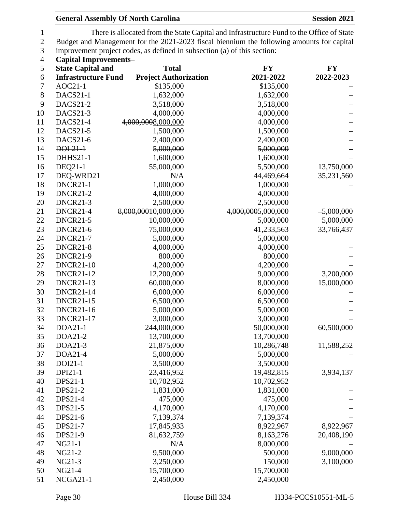| <b>General Assembly Of North Carolina</b> | <b>Session 2021</b> |
|-------------------------------------------|---------------------|
|-------------------------------------------|---------------------|

1 There is allocated from the State Capital and Infrastructure Fund to the Office of State<br>2 Budget and Management for the 2021-2023 fiscal biennium the following amounts for capital 2 Budget and Management for the 2021-2023 fiscal biennium the following amounts for capital<br>3 improvement project codes, as defined in subsection (a) of this section: improvement project codes, as defined in subsection (a) of this section:

**Capital Improvements–**

| 5        | <b>State Capital and</b>   | <b>Total</b>                 | <b>FY</b>             | <b>FY</b>    |  |
|----------|----------------------------|------------------------------|-----------------------|--------------|--|
| 6        | <b>Infrastructure Fund</b> | <b>Project Authorization</b> | 2021-2022             | 2022-2023    |  |
| 7        | $AOC21-1$                  | \$135,000                    | \$135,000             |              |  |
| $8\,$    | DACS21-1                   | 1,632,000                    | 1,632,000             |              |  |
| 9        | <b>DACS21-2</b>            | 3,518,000                    | 3,518,000             |              |  |
| 10       | DACS21-3                   | 4,000,000                    | 4,000,000             |              |  |
| 11       | DACS21-4                   | 4,000,0008,000,000           | 4,000,000             |              |  |
| 12       | <b>DACS21-5</b>            | 1,500,000                    | 1,500,000             |              |  |
| 13       | DACS21-6                   | 2,400,000                    | 2,400,000             |              |  |
| 14       | DOL21-1                    | 5,000,000                    | 5,000,000             |              |  |
| 15       | <b>DHHS21-1</b>            | 1,600,000                    | 1,600,000             |              |  |
| 16       | DEQ21-1                    | 55,000,000                   | 5,500,000             | 13,750,000   |  |
| 17       | DEQ-WRD21                  | N/A                          | 44,469,664            | 35,231,560   |  |
| 18       | DNCR21-1                   | 1,000,000                    | 1,000,000             |              |  |
| 19       | <b>DNCR21-2</b>            | 4,000,000                    | 4,000,000             |              |  |
| 20       | <b>DNCR21-3</b>            | 2,500,000                    | 2,500,000             |              |  |
| 21       | DNCR21-4                   | 8,000,00010,000,000          | 4,000,0005,000,000    | $-5,000,000$ |  |
| 22       | DNCR21-5                   | 10,000,000                   | 5,000,000             | 5,000,000    |  |
| 23       | <b>DNCR21-6</b>            | 75,000,000                   | 41,233,563            | 33,766,437   |  |
| 24       | <b>DNCR21-7</b>            | 5,000,000                    | 5,000,000             |              |  |
| 25       | DNCR21-8                   | 4,000,000                    | 4,000,000             |              |  |
| 26       | <b>DNCR21-9</b>            | 800,000                      | 800,000               |              |  |
| 27       | <b>DNCR21-10</b>           | 4,200,000                    | 4,200,000             |              |  |
| 28       | <b>DNCR21-12</b>           | 12,200,000                   | 9,000,000             | 3,200,000    |  |
| 29       | <b>DNCR21-13</b>           | 60,000,000                   | 8,000,000             | 15,000,000   |  |
| 30       | <b>DNCR21-14</b>           | 6,000,000                    | 6,000,000             |              |  |
| 31       | <b>DNCR21-15</b>           | 6,500,000                    | 6,500,000             |              |  |
| 32       | <b>DNCR21-16</b>           | 5,000,000                    | 5,000,000             |              |  |
| 33       | <b>DNCR21-17</b>           | 3,000,000                    | 3,000,000             |              |  |
| 34       | DOA21-1                    | 244,000,000                  | 50,000,000            | 60,500,000   |  |
| 35       | DOA21-2                    | 13,700,000                   | 13,700,000            |              |  |
| 36       | DOA21-3                    | 21,875,000                   | 10,286,748            | 11,588,252   |  |
| 37       | DOA21-4                    | 5,000,000                    | 5,000,000             |              |  |
| 38       | DOI21-1                    | 3,500,000                    | 3,500,000             |              |  |
| 39       | <b>DPI21-1</b>             | 23,416,952                   | 19,482,815            | 3,934,137    |  |
| 40       | <b>DPS21-1</b>             | 10,702,952                   | 10,702,952            |              |  |
| 41       | <b>DPS21-2</b>             | 1,831,000                    | 1,831,000             |              |  |
| 42       | DPS21-4                    | 475,000                      | 475,000               |              |  |
| 43       | <b>DPS21-5</b>             | 4,170,000                    | 4,170,000             |              |  |
| 44       | DPS21-6                    | 7,139,374                    | 7,139,374             |              |  |
| 45       | DPS21-7                    | 17,845,933                   | 8,922,967             | 8,922,967    |  |
| 46<br>47 | DPS21-9                    | 81,632,759<br>N/A            | 8,163,276             | 20,408,190   |  |
|          | NG21-1<br>NG21-2           |                              | 8,000,000             |              |  |
| 48<br>49 | NG21-3                     | 9,500,000                    | 500,000               | 9,000,000    |  |
| 50       | NG21-4                     | 3,250,000<br>15,700,000      | 150,000<br>15,700,000 | 3,100,000    |  |
| 51       |                            |                              |                       |              |  |
|          | NCGA21-1                   | 2,450,000                    | 2,450,000             |              |  |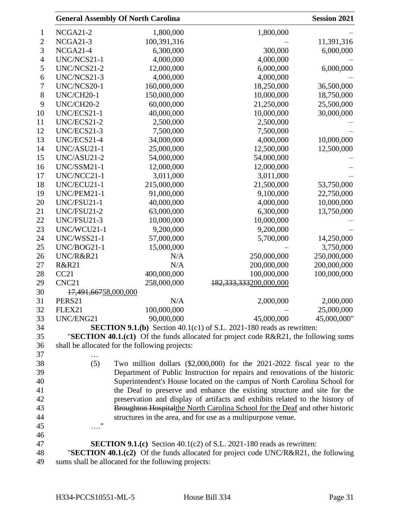|                |                                                                              | <b>General Assembly Of North Carolina</b>           |                                                                                        | <b>Session 2021</b> |  |
|----------------|------------------------------------------------------------------------------|-----------------------------------------------------|----------------------------------------------------------------------------------------|---------------------|--|
| 1              | NCGA21-2                                                                     | 1,800,000                                           | 1,800,000                                                                              |                     |  |
| $\overline{c}$ | NCGA21-3                                                                     | 100,391,316                                         |                                                                                        | 11,391,316          |  |
| 3              | NCGA21-4                                                                     | 6,300,000                                           | 300,000                                                                                | 6,000,000           |  |
| $\overline{4}$ | UNC/NCS21-1                                                                  | 4,000,000                                           | 4,000,000                                                                              |                     |  |
| 5              | UNC/NCS21-2                                                                  | 12,000,000                                          | 6,000,000                                                                              | 6,000,000           |  |
| 6              | UNC/NCS21-3                                                                  | 4,000,000                                           | 4,000,000                                                                              |                     |  |
| 7              | UNC/NCS20-1                                                                  | 160,000,000                                         | 18,250,000                                                                             | 36,500,000          |  |
| 8              | UNC/CH20-1                                                                   | 150,000,000                                         | 10,000,000                                                                             | 18,750,000          |  |
| 9              | UNC/CH20-2                                                                   | 60,000,000                                          | 21,250,000                                                                             | 25,500,000          |  |
| 10             | UNC/ECS21-1                                                                  | 40,000,000                                          | 10,000,000                                                                             | 30,000,000          |  |
| 11             | UNC/ECS21-2                                                                  | 2,500,000                                           | 2,500,000                                                                              |                     |  |
| 12             | UNC/ECS21-3                                                                  | 7,500,000                                           | 7,500,000                                                                              |                     |  |
| 13             | UNC/ECS21-4                                                                  | 34,000,000                                          | 4,000,000                                                                              | 10,000,000          |  |
| 14             | UNC/ASU21-1                                                                  | 25,000,000                                          | 12,500,000                                                                             | 12,500,000          |  |
| 15             | UNC/ASU21-2                                                                  | 54,000,000                                          | 54,000,000                                                                             |                     |  |
| 16             | UNC/SSM21-1                                                                  | 12,000,000                                          | 12,000,000                                                                             |                     |  |
| 17             | UNC/NCC21-1                                                                  | 3,011,000                                           | 3,011,000                                                                              |                     |  |
| 18             | UNC/ECU21-1                                                                  | 215,000,000                                         | 21,500,000                                                                             | 53,750,000          |  |
| 19             | UNC/PEM21-1                                                                  | 91,000,000                                          | 9,100,000                                                                              | 22,750,000          |  |
| 20             | UNC/FSU21-1                                                                  | 40,000,000                                          | 4,000,000                                                                              | 10,000,000          |  |
| 21             | UNC/FSU21-2                                                                  | 63,000,000                                          | 6,300,000                                                                              | 13,750,000          |  |
| 22             | UNC/FSU21-3                                                                  | 10,000,000                                          | 10,000,000                                                                             |                     |  |
| 23             | UNC/WCU21-1                                                                  | 9,200,000                                           | 9,200,000                                                                              |                     |  |
| 24             | UNC/WSS21-1                                                                  | 57,000,000                                          | 5,700,000                                                                              | 14,250,000          |  |
| 25             | UNC/BOG21-1                                                                  | 15,000,000                                          |                                                                                        | 3,750,000           |  |
| 26             | UNC/R&R21                                                                    | N/A                                                 | 250,000,000                                                                            | 250,000,000         |  |
| 27             | <b>R&amp;R21</b>                                                             | N/A                                                 | 200,000,000                                                                            | 200,000,000         |  |
| 28             | CC21                                                                         | 400,000,000                                         | 100,000,000                                                                            | 100,000,000         |  |
| 29             | CNC <sub>21</sub>                                                            | 258,000,000                                         | 182, 333, 333200, 000, 000                                                             |                     |  |
| 30             | 17,491,66758,000,000                                                         |                                                     |                                                                                        |                     |  |
| 31             | PERS21                                                                       | N/A                                                 | 2,000,000                                                                              | 2,000,000           |  |
| 32             | FLEX21                                                                       | 100,000,000                                         |                                                                                        | 25,000,000          |  |
| 33             | UNC/ENG21                                                                    | 90,000,000                                          | 45,000,000                                                                             | 45,000,000"         |  |
| 34             | <b>SECTION 9.1.(b)</b> Section 40.1(c1) of S.L. 2021-180 reads as rewritten: |                                                     |                                                                                        |                     |  |
| 35             |                                                                              |                                                     | "SECTION 40.1.(c1) Of the funds allocated for project code R&R21, the following sums   |                     |  |
| 36<br>37       |                                                                              | shall be allocated for the following projects:      |                                                                                        |                     |  |
| 38             | (5)                                                                          |                                                     | Two million dollars $(\$2,000,000)$ for the 2021-2022 fiscal year to the               |                     |  |
| 39             |                                                                              |                                                     | Department of Public Instruction for repairs and renovations of the historic           |                     |  |
| 40             |                                                                              |                                                     | Superintendent's House located on the campus of North Carolina School for              |                     |  |
| 41             |                                                                              |                                                     | the Deaf to preserve and enhance the existing structure and site for the               |                     |  |
| 42             |                                                                              |                                                     | preservation and display of artifacts and exhibits related to the history of           |                     |  |
| 43             |                                                                              |                                                     | <b>Broughton Hospitalthe North Carolina School for the Deaf and other historic</b>     |                     |  |
| 44             |                                                                              |                                                     | structures in the area, and for use as a multipurpose venue.                           |                     |  |
| 45             | "<br>.                                                                       |                                                     |                                                                                        |                     |  |
| 46             |                                                                              |                                                     |                                                                                        |                     |  |
| 47             |                                                                              |                                                     | <b>SECTION 9.1.(c)</b> Section 40.1(c2) of S.L. 2021-180 reads as rewritten:           |                     |  |
| 48             |                                                                              |                                                     | "SECTION 40.1. $(c2)$ Of the funds allocated for project code UNC/R&R21, the following |                     |  |
| 49             |                                                                              | sums shall be allocated for the following projects: |                                                                                        |                     |  |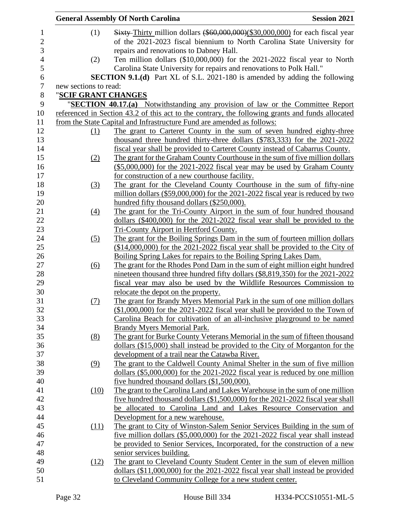|                       |             | <b>General Assembly Of North Carolina</b>                                                        | <b>Session 2021</b> |
|-----------------------|-------------|--------------------------------------------------------------------------------------------------|---------------------|
| (1)                   |             | Sixty-Thirty million dollars (\$60,000,000)(\$30,000,000) for each fiscal year                   |                     |
|                       |             | of the 2021-2023 fiscal biennium to North Carolina State University for                          |                     |
|                       |             | repairs and renovations to Dabney Hall.                                                          |                     |
| (2)                   |             | Ten million dollars (\$10,000,000) for the 2021-2022 fiscal year to North                        |                     |
|                       |             | Carolina State University for repairs and renovations to Polk Hall."                             |                     |
|                       |             | SECTION 9.1.(d) Part XL of S.L. 2021-180 is amended by adding the following                      |                     |
| new sections to read: |             |                                                                                                  |                     |
| "SCIF GRANT CHANGES   |             |                                                                                                  |                     |
|                       |             | "SECTION 40.17.(a) Notwithstanding any provision of law or the Committee Report                  |                     |
|                       |             | referenced in Section 43.2 of this act to the contrary, the following grants and funds allocated |                     |
|                       |             | from the State Capital and Infrastructure Fund are amended as follows:                           |                     |
|                       | (1)         | The grant to Carteret County in the sum of seven hundred eighty-three                            |                     |
|                       |             | thousand three hundred thirty-three dollars (\$783,333) for the 2021-2022                        |                     |
|                       |             | fiscal year shall be provided to Carteret County instead of Cabarrus County.                     |                     |
| (2)                   |             | The grant for the Graham County Courthouse in the sum of five million dollars                    |                     |
|                       |             | (\$5,000,000) for the 2021-2022 fiscal year may be used by Graham County                         |                     |
|                       |             | for construction of a new courthouse facility.                                                   |                     |
| (3)                   |             | The grant for the Cleveland County Courthouse in the sum of fifty-nine                           |                     |
|                       |             | million dollars $(\$59,000,000)$ for the 2021-2022 fiscal year is reduced by two                 |                     |
|                       |             | hundred fifty thousand dollars (\$250,000).                                                      |                     |
| (4)                   |             | The grant for the Tri-County Airport in the sum of four hundred thousand                         |                     |
|                       |             | dollars $(\$400,000)$ for the 2021-2022 fiscal year shall be provided to the                     |                     |
|                       |             | Tri-County Airport in Hertford County.                                                           |                     |
| (5)                   |             | The grant for the Boiling Springs Dam in the sum of fourteen million dollars                     |                     |
|                       |             | $($14,000,000)$ for the 2021-2022 fiscal year shall be provided to the City of                   |                     |
|                       |             | Boiling Spring Lakes for repairs to the Boiling Spring Lakes Dam.                                |                     |
| (6)                   |             | The grant for the Rhodes Pond Dam in the sum of eight million eight hundred                      |                     |
|                       |             | nineteen thousand three hundred fifty dollars (\$8,819,350) for the 2021-2022                    |                     |
|                       |             | fiscal year may also be used by the Wildlife Resources Commission to                             |                     |
|                       |             | relocate the depot on the property.                                                              |                     |
| (7)                   |             | The grant for Brandy Myers Memorial Park in the sum of one million dollars                       |                     |
|                       |             | $(\$1,000,000)$ for the 2021-2022 fiscal year shall be provided to the Town of                   |                     |
|                       |             | Carolina Beach for cultivation of an all-inclusive playground to be named                        |                     |
|                       |             | Brandy Myers Memorial Park.                                                                      |                     |
| (8)                   |             | The grant for Burke County Veterans Memorial in the sum of fifteen thousand                      |                     |
|                       |             | dollars (\$15,000) shall instead be provided to the City of Morganton for the                    |                     |
|                       |             | development of a trail near the Catawba River.                                                   |                     |
| (9)                   |             | The grant to the Caldwell County Animal Shelter in the sum of five million                       |                     |
|                       |             | dollars $(\$5,000,000)$ for the 2021-2022 fiscal year is reduced by one million                  |                     |
|                       |             | five hundred thousand dollars $(\$1,500,000)$ .                                                  |                     |
|                       | (10)        | The grant to the Carolina Land and Lakes Warehouse in the sum of one million                     |                     |
|                       |             | five hundred thousand dollars (\$1,500,000) for the 2021-2022 fiscal year shall                  |                     |
|                       |             | be allocated to Carolina Land and Lakes Resource Conservation and                                |                     |
|                       |             | Development for a new warehouse.                                                                 |                     |
|                       | <u>(11)</u> | The grant to City of Winston-Salem Senior Services Building in the sum of                        |                     |
|                       |             | five million dollars (\$5,000,000) for the 2021-2022 fiscal year shall instead                   |                     |
|                       |             | be provided to Senior Services, Incorporated, for the construction of a new                      |                     |
|                       |             | senior services building.                                                                        |                     |
|                       | (12)        | The grant to Cleveland County Student Center in the sum of eleven million                        |                     |
|                       |             | dollars (\$11,000,000) for the 2021-2022 fiscal year shall instead be provided                   |                     |
|                       |             | to Cleveland Community College for a new student center.                                         |                     |
|                       |             |                                                                                                  |                     |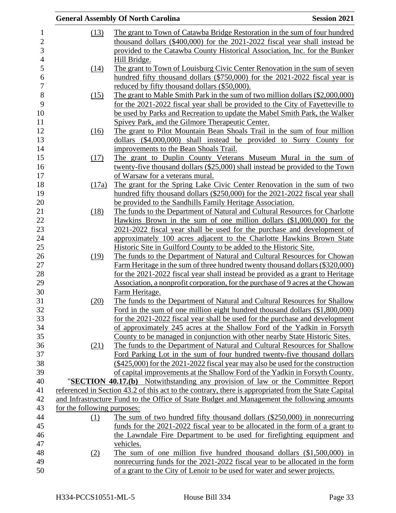|                             | <b>General Assembly Of North Carolina</b>                                                                                                                         | <b>Session 2021</b> |
|-----------------------------|-------------------------------------------------------------------------------------------------------------------------------------------------------------------|---------------------|
| (13)                        | The grant to Town of Catawba Bridge Restoration in the sum of four hundred                                                                                        |                     |
|                             | thousand dollars (\$400,000) for the 2021-2022 fiscal year shall instead be                                                                                       |                     |
|                             | provided to the Catawba County Historical Association, Inc. for the Bunker                                                                                        |                     |
|                             | Hill Bridge.                                                                                                                                                      |                     |
| (14)                        | The grant to Town of Louisburg Civic Center Renovation in the sum of seven                                                                                        |                     |
|                             | hundred fifty thousand dollars (\$750,000) for the 2021-2022 fiscal year is                                                                                       |                     |
|                             | reduced by fifty thousand dollars (\$50,000).                                                                                                                     |                     |
| (15)                        | The grant to Mable Smith Park in the sum of two million dollars (\$2,000,000)                                                                                     |                     |
|                             | for the 2021-2022 fiscal year shall be provided to the City of Fayetteville to                                                                                    |                     |
|                             | be used by Parks and Recreation to update the Mabel Smith Park, the Walker                                                                                        |                     |
|                             | Spivey Park, and the Gilmore Therapeutic Center.                                                                                                                  |                     |
| (16)                        | The grant to Pilot Mountain Bean Shoals Trail in the sum of four million                                                                                          |                     |
|                             | dollars (\$4,000,000) shall instead be provided to Surry County for                                                                                               |                     |
|                             | improvements to the Bean Shoals Trail.                                                                                                                            |                     |
| (17)                        | The grant to Duplin County Veterans Museum Mural in the sum of                                                                                                    |                     |
|                             | twenty-five thousand dollars (\$25,000) shall instead be provided to the Town                                                                                     |                     |
|                             | of Warsaw for a veterans mural.                                                                                                                                   |                     |
| (17a)                       | The grant for the Spring Lake Civic Center Renovation in the sum of two                                                                                           |                     |
|                             | hundred fifty thousand dollars (\$250,000) for the 2021-2022 fiscal year shall                                                                                    |                     |
|                             | be provided to the Sandhills Family Heritage Association.                                                                                                         |                     |
| (18)                        | The funds to the Department of Natural and Cultural Resources for Charlotte                                                                                       |                     |
|                             | Hawkins Brown in the sum of one million dollars (\$1,000,000) for the                                                                                             |                     |
|                             | 2021-2022 fiscal year shall be used for the purchase and development of                                                                                           |                     |
|                             | approximately 100 acres adjacent to the Charlotte Hawkins Brown State                                                                                             |                     |
|                             | Historic Site in Guilford County to be added to the Historic Site.                                                                                                |                     |
| (19)                        | The funds to the Department of Natural and Cultural Resources for Chowan                                                                                          |                     |
|                             | Farm Heritage in the sum of three hundred twenty thousand dollars (\$320,000)                                                                                     |                     |
|                             | for the 2021-2022 fiscal year shall instead be provided as a grant to Heritage<br>Association, a nonprofit corporation, for the purchase of 9 acres at the Chowan |                     |
|                             | Farm Heritage.                                                                                                                                                    |                     |
| (20)                        | The funds to the Department of Natural and Cultural Resources for Shallow                                                                                         |                     |
|                             | Ford in the sum of one million eight hundred thousand dollars (\$1,800,000)                                                                                       |                     |
|                             | for the 2021-2022 fiscal year shall be used for the purchase and development                                                                                      |                     |
|                             | of approximately 245 acres at the Shallow Ford of the Yadkin in Forsyth                                                                                           |                     |
|                             | County to be managed in conjunction with other nearby State Historic Sites.                                                                                       |                     |
| (21)                        | The funds to the Department of Natural and Cultural Resources for Shallow                                                                                         |                     |
|                             | Ford Parking Lot in the sum of four hundred twenty-five thousand dollars                                                                                          |                     |
|                             | $(\$425,000)$ for the 2021-2022 fiscal year may also be used for the construction                                                                                 |                     |
|                             | of capital improvements at the Shallow Ford of the Yadkin in Forsyth County.                                                                                      |                     |
|                             | "SECTION 40.17.(b) Notwithstanding any provision of law or the Committee Report                                                                                   |                     |
|                             | referenced in Section 43.2 of this act to the contrary, there is appropriated from the State Capital                                                              |                     |
|                             | and Infrastructure Fund to the Office of State Budget and Management the following amounts                                                                        |                     |
| for the following purposes: |                                                                                                                                                                   |                     |
| (1)                         | The sum of two hundred fifty thousand dollars (\$250,000) in nonrecurring                                                                                         |                     |
|                             | funds for the 2021-2022 fiscal year to be allocated in the form of a grant to                                                                                     |                     |
|                             | the Lawndale Fire Department to be used for firefighting equipment and                                                                                            |                     |
|                             | vehicles.                                                                                                                                                         |                     |
| (2)                         | The sum of one million five hundred thousand dollars $(\$1,500,000)$ in                                                                                           |                     |
|                             | nonrecurring funds for the 2021-2022 fiscal year to be allocated in the form                                                                                      |                     |
|                             | of a grant to the City of Lenoir to be used for water and sewer projects.                                                                                         |                     |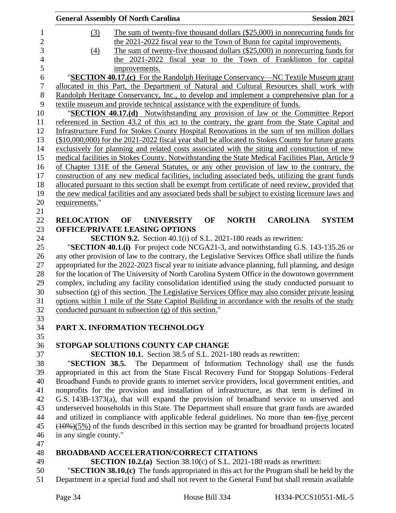|                        | <b>General Assembly Of North Carolina</b>                                                           |                   |    |              |                 | <b>Session 2021</b>                                          |
|------------------------|-----------------------------------------------------------------------------------------------------|-------------------|----|--------------|-----------------|--------------------------------------------------------------|
| (3)                    | The sum of twenty-five thousand dollars $(\$25,000)$ in nonrecurring funds for                      |                   |    |              |                 |                                                              |
|                        | the 2021-2022 fiscal year to the Town of Bunn for capital improvements.                             |                   |    |              |                 |                                                              |
| $\left(4\right)$       | The sum of twenty-five thousand dollars (\$25,000) in nonrecurring funds for                        |                   |    |              |                 |                                                              |
|                        | the 2021-2022 fiscal year to the Town of Franklinton for capital                                    |                   |    |              |                 |                                                              |
|                        | improvements.                                                                                       |                   |    |              |                 |                                                              |
|                        | "SECTION 40.17.(c) For the Randolph Heritage Conservancy—NC Textile Museum grant                    |                   |    |              |                 |                                                              |
|                        | allocated in this Part, the Department of Natural and Cultural Resources shall work with            |                   |    |              |                 |                                                              |
|                        | Randolph Heritage Conservancy, Inc., to develop and implement a comprehensive plan for a            |                   |    |              |                 |                                                              |
|                        | textile museum and provide technical assistance with the expenditure of funds.                      |                   |    |              |                 |                                                              |
|                        | "SECTION 40.17.(d) Notwithstanding any provision of law or the Committee Report                     |                   |    |              |                 |                                                              |
|                        | referenced in Section 43.2 of this act to the contrary, the grant from the State Capital and        |                   |    |              |                 |                                                              |
|                        | Infrastructure Fund for Stokes County Hospital Renovations in the sum of ten million dollars        |                   |    |              |                 |                                                              |
|                        | $($10,000,000)$ for the 2021-2022 fiscal year shall be allocated to Stokes County for future grants |                   |    |              |                 |                                                              |
|                        | exclusively for planning and related costs associated with the siting and construction of new       |                   |    |              |                 |                                                              |
|                        | medical facilities in Stokes County. Notwithstanding the State Medical Facilities Plan, Article 9   |                   |    |              |                 |                                                              |
|                        | of Chapter 131E of the General Statutes, or any other provision of law to the contrary, the         |                   |    |              |                 |                                                              |
|                        | construction of any new medical facilities, including associated beds, utilizing the grant funds    |                   |    |              |                 |                                                              |
|                        | allocated pursuant to this section shall be exempt from certificate of need review, provided that   |                   |    |              |                 |                                                              |
|                        | the new medical facilities and any associated beds shall be subject to existing licensure laws and  |                   |    |              |                 |                                                              |
| requirements."         |                                                                                                     |                   |    |              |                 |                                                              |
|                        |                                                                                                     |                   |    |              |                 |                                                              |
| <b>RELOCATION</b>      | OF<br><b>OFFICE/PRIVATE LEASING OPTIONS</b>                                                         | <b>UNIVERSITY</b> | OF | <b>NORTH</b> | <b>CAROLINA</b> | <b>SYSTEM</b>                                                |
|                        | <b>SECTION 9.2.</b> Section 40.1(i) of S.L. 2021-180 reads as rewritten:                            |                   |    |              |                 |                                                              |
|                        | "SECTION 40.1.(i) For project code NCGA21-3, and notwithstanding G.S. 143-135.26 or                 |                   |    |              |                 |                                                              |
|                        | any other provision of law to the contrary, the Legislative Services Office shall utilize the funds |                   |    |              |                 |                                                              |
|                        | appropriated for the 2022-2023 fiscal year to initiate advance planning, full planning, and design  |                   |    |              |                 |                                                              |
|                        | for the location of The University of North Carolina System Office in the downtown government       |                   |    |              |                 |                                                              |
|                        | complex, including any facility consolidation identified using the study conducted pursuant to      |                   |    |              |                 |                                                              |
|                        | subsection (g) of this section. The Legislative Services Office may also consider private leasing   |                   |    |              |                 |                                                              |
|                        | options within 1 mile of the State Capitol Building in accordance with the results of the study     |                   |    |              |                 |                                                              |
|                        | conducted pursuant to subsection (g) of this section."                                              |                   |    |              |                 |                                                              |
|                        |                                                                                                     |                   |    |              |                 |                                                              |
|                        | PART X. INFORMATION TECHNOLOGY                                                                      |                   |    |              |                 |                                                              |
|                        |                                                                                                     |                   |    |              |                 |                                                              |
|                        | STOPGAP SOLUTIONS COUNTY CAP CHANGE                                                                 |                   |    |              |                 |                                                              |
|                        | <b>SECTION 10.1.</b> Section 38.5 of S.L. 2021-180 reads as rewritten:                              |                   |    |              |                 |                                                              |
| "SECTION 38.5.         |                                                                                                     |                   |    |              |                 | The Department of Information Technology shall use the funds |
|                        | appropriated in this act from the State Fiscal Recovery Fund for Stopgap Solutions–Federal          |                   |    |              |                 |                                                              |
|                        | Broadband Funds to provide grants to internet service providers, local government entities, and     |                   |    |              |                 |                                                              |
|                        | nonprofits for the provision and installation of infrastructure, as that term is defined in         |                   |    |              |                 |                                                              |
|                        | G.S. 143B-1373(a), that will expand the provision of broadband service to unserved and              |                   |    |              |                 |                                                              |
|                        | underserved households in this State. The Department shall ensure that grant funds are awarded      |                   |    |              |                 |                                                              |
|                        | and utilized in compliance with applicable federal guidelines. No more than ten-five percent        |                   |    |              |                 |                                                              |
|                        | $(10\%)$ (5%) of the funds described in this section may be granted for broadband projects located  |                   |    |              |                 |                                                              |
| in any single county." |                                                                                                     |                   |    |              |                 |                                                              |
|                        |                                                                                                     |                   |    |              |                 |                                                              |
|                        | <b>BROADBAND ACCELERATION/CORRECT CITATIONS</b>                                                     |                   |    |              |                 |                                                              |
|                        | <b>SECTION 10.2.(a)</b> Section $38.10(c)$ of S.L. 2021-180 reads as rewritten:                     |                   |    |              |                 |                                                              |
|                        | "SECTION 38.10.(c) The funds appropriated in this act for the Program shall be held by the          |                   |    |              |                 |                                                              |

Department in a special fund and shall not revert to the General Fund but shall remain available